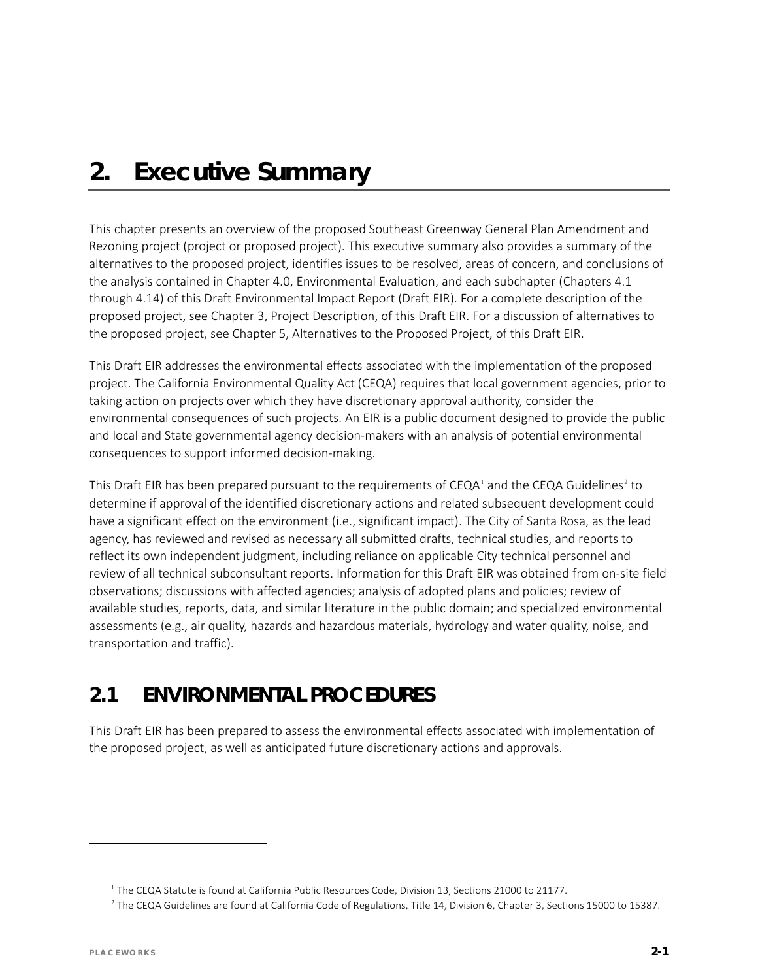# *2. Executive Summary*

This chapter presents an overview of the proposed Southeast Greenway General Plan Amendment and Rezoning project (project or proposed project). This executive summary also provides a summary of the alternatives to the proposed project, identifies issues to be resolved, areas of concern, and conclusions of the analysis contained in Chapter 4.0, Environmental Evaluation, and each subchapter (Chapters 4.1 through 4.14) of this Draft Environmental Impact Report (Draft EIR). For a complete description of the proposed project, see Chapter 3, Project Description, of this Draft EIR. For a discussion of alternatives to the proposed project, see Chapter 5, Alternatives to the Proposed Project, of this Draft EIR.

This Draft EIR addresses the environmental effects associated with the implementation of the proposed project. The California Environmental Quality Act (CEQA) requires that local government agencies, prior to taking action on projects over which they have discretionary approval authority, consider the environmental consequences of such projects. An EIR is a public document designed to provide the public and local and State governmental agency decision-makers with an analysis of potential environmental consequences to support informed decision-making.

This Draft EIR has been prepared pursuant to the requirements of CEQA<sup>[1](#page-0-0)</sup> and the CEQA Guidelines<sup>[2](#page-0-1)</sup> to determine if approval of the identified discretionary actions and related subsequent development could have a significant effect on the environment (i.e., significant impact). The City of Santa Rosa, as the lead agency, has reviewed and revised as necessary all submitted drafts, technical studies, and reports to reflect its own independent judgment, including reliance on applicable City technical personnel and review of all technical subconsultant reports. Information for this Draft EIR was obtained from on-site field observations; discussions with affected agencies; analysis of adopted plans and policies; review of available studies, reports, data, and similar literature in the public domain; and specialized environmental assessments (e.g., air quality, hazards and hazardous materials, hydrology and water quality, noise, and transportation and traffic).

## **2.1 ENVIRONMENTAL PROCEDURES**

This Draft EIR has been prepared to assess the environmental effects associated with implementation of the proposed project, as well as anticipated future discretionary actions and approvals.

<span id="page-0-1"></span><span id="page-0-0"></span> $\overline{a}$ 

<sup>1</sup> The CEQA Statute is found at California Public Resources Code, Division 13, Sections 21000 to 21177.

 $2$  The CEQA Guidelines are found at California Code of Regulations, Title 14, Division 6, Chapter 3, Sections 15000 to 15387.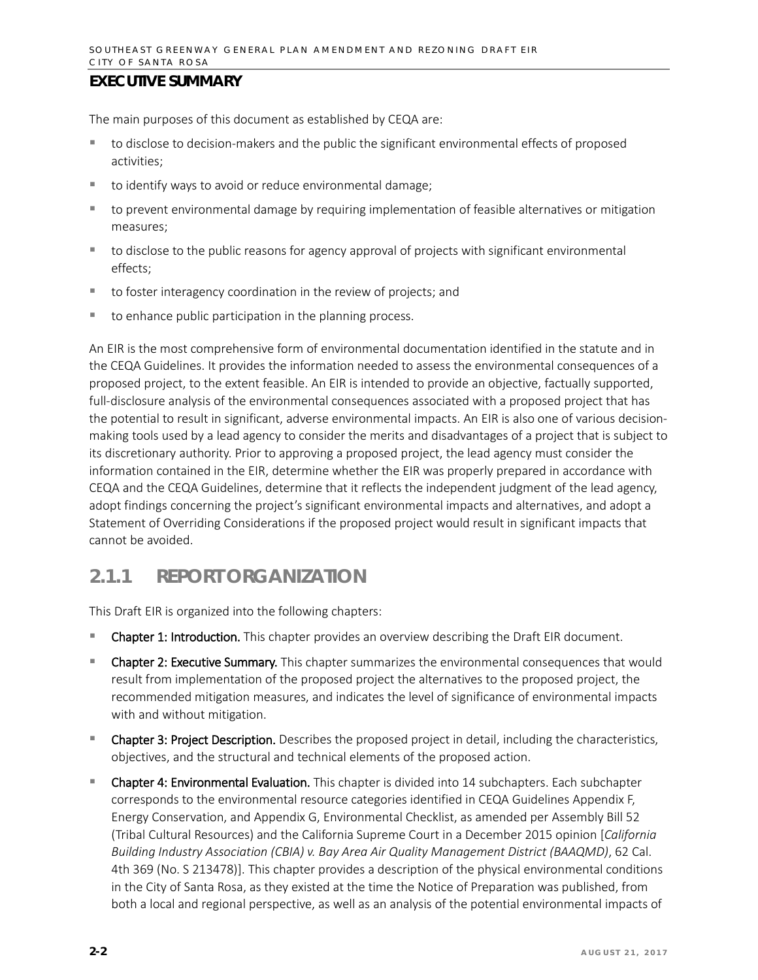The main purposes of this document as established by CEQA are:

- to disclose to decision-makers and the public the significant environmental effects of proposed activities;
- to identify ways to avoid or reduce environmental damage;
- to prevent environmental damage by requiring implementation of feasible alternatives or mitigation measures;
- **the disclose to the public reasons for agency approval of projects with significant environmental** effects;
- to foster interagency coordination in the review of projects; and
- $\blacksquare$  to enhance public participation in the planning process.

An EIR is the most comprehensive form of environmental documentation identified in the statute and in the CEQA Guidelines. It provides the information needed to assess the environmental consequences of a proposed project, to the extent feasible. An EIR is intended to provide an objective, factually supported, full-disclosure analysis of the environmental consequences associated with a proposed project that has the potential to result in significant, adverse environmental impacts. An EIR is also one of various decisionmaking tools used by a lead agency to consider the merits and disadvantages of a project that is subject to its discretionary authority. Prior to approving a proposed project, the lead agency must consider the information contained in the EIR, determine whether the EIR was properly prepared in accordance with CEQA and the CEQA Guidelines, determine that it reflects the independent judgment of the lead agency, adopt findings concerning the project's significant environmental impacts and alternatives, and adopt a Statement of Overriding Considerations if the proposed project would result in significant impacts that cannot be avoided.

## **2.1.1 REPORT ORGANIZATION**

This Draft EIR is organized into the following chapters:

- **Chapter 1: Introduction.** This chapter provides an overview describing the Draft EIR document.
- Chapter 2: Executive Summary. This chapter summarizes the environmental consequences that would result from implementation of the proposed project the alternatives to the proposed project, the recommended mitigation measures, and indicates the level of significance of environmental impacts with and without mitigation.
- **Chapter 3: Project Description.** Describes the proposed project in detail, including the characteristics, objectives, and the structural and technical elements of the proposed action.
- Chapter 4: Environmental Evaluation. This chapter is divided into 14 subchapters. Each subchapter corresponds to the environmental resource categories identified in CEQA Guidelines Appendix F, Energy Conservation, and Appendix G, Environmental Checklist, as amended per Assembly Bill 52 (Tribal Cultural Resources) and the California Supreme Court in a December 2015 opinion [*California Building Industry Association (CBIA) v. Bay Area Air Quality Management District (BAAQMD)*, 62 Cal. 4th 369 (No. S 213478)]. This chapter provides a description of the physical environmental conditions in the City of Santa Rosa, as they existed at the time the Notice of Preparation was published, from both a local and regional perspective, as well as an analysis of the potential environmental impacts of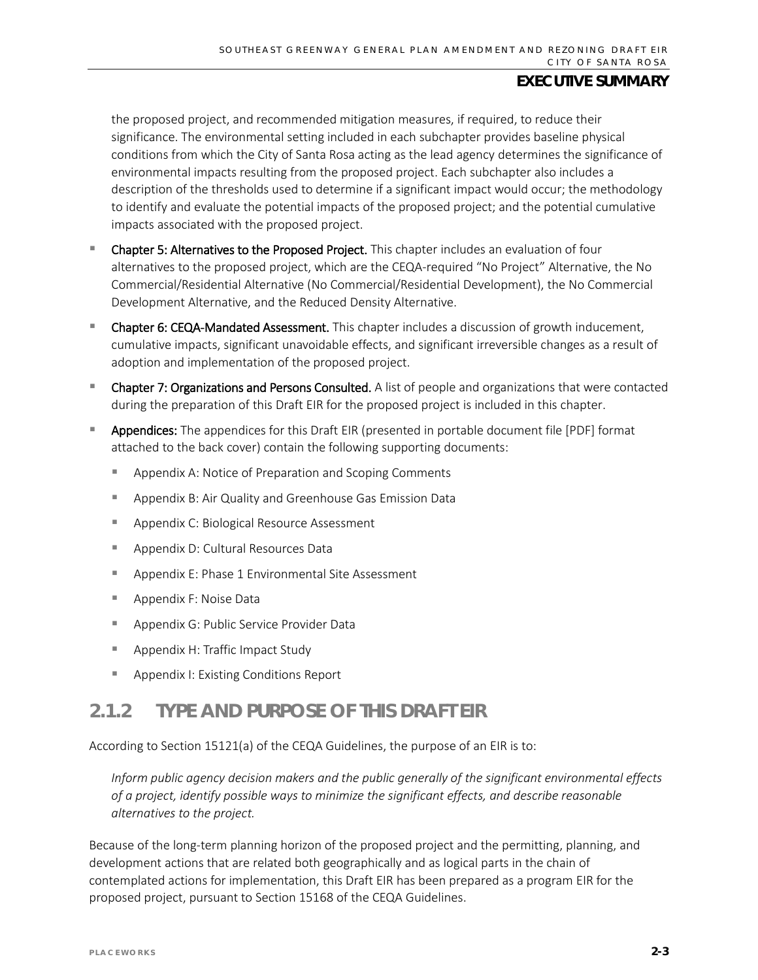the proposed project, and recommended mitigation measures, if required, to reduce their significance. The environmental setting included in each subchapter provides baseline physical conditions from which the City of Santa Rosa acting as the lead agency determines the significance of environmental impacts resulting from the proposed project. Each subchapter also includes a description of the thresholds used to determine if a significant impact would occur; the methodology to identify and evaluate the potential impacts of the proposed project; and the potential cumulative impacts associated with the proposed project.

- Chapter 5: Alternatives to the Proposed Project. This chapter includes an evaluation of four alternatives to the proposed project, which are the CEQA-required "No Project" Alternative, the No Commercial/Residential Alternative (No Commercial/Residential Development), the No Commercial Development Alternative, and the Reduced Density Alternative.
- Chapter 6: CEQA-Mandated Assessment. This chapter includes a discussion of growth inducement, cumulative impacts, significant unavoidable effects, and significant irreversible changes as a result of adoption and implementation of the proposed project.
- Chapter 7: Organizations and Persons Consulted. A list of people and organizations that were contacted during the preparation of this Draft EIR for the proposed project is included in this chapter.
- Appendices: The appendices for this Draft EIR (presented in portable document file [PDF] format attached to the back cover) contain the following supporting documents:
	- **Appendix A: Notice of Preparation and Scoping Comments**
	- Appendix B: Air Quality and Greenhouse Gas Emission Data
	- **Appendix C: Biological Resource Assessment**
	- **Appendix D: Cultural Resources Data**
	- Appendix E: Phase 1 Environmental Site Assessment
	- **Appendix F: Noise Data**
	- **Appendix G: Public Service Provider Data**
	- **Appendix H: Traffic Impact Study**
	- **Appendix I: Existing Conditions Report**

## **2.1.2 TYPE AND PURPOSE OF THIS DRAFT EIR**

According to Section 15121(a) of the CEQA Guidelines, the purpose of an EIR is to:

*Inform public agency decision makers and the public generally of the significant environmental effects of a project, identify possible ways to minimize the significant effects, and describe reasonable alternatives to the project.*

Because of the long-term planning horizon of the proposed project and the permitting, planning, and development actions that are related both geographically and as logical parts in the chain of contemplated actions for implementation, this Draft EIR has been prepared as a program EIR for the proposed project, pursuant to Section 15168 of the CEQA Guidelines.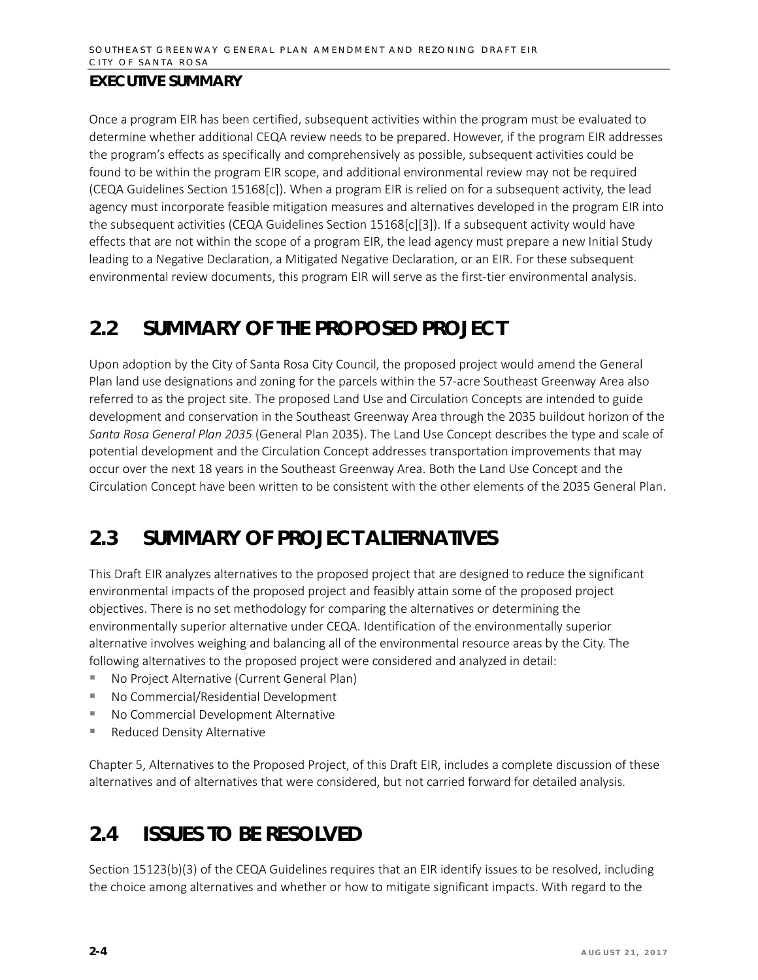Once a program EIR has been certified, subsequent activities within the program must be evaluated to determine whether additional CEQA review needs to be prepared. However, if the program EIR addresses the program's effects as specifically and comprehensively as possible, subsequent activities could be found to be within the program EIR scope, and additional environmental review may not be required (CEQA Guidelines Section 15168[c]). When a program EIR is relied on for a subsequent activity, the lead agency must incorporate feasible mitigation measures and alternatives developed in the program EIR into the subsequent activities (CEQA Guidelines Section 15168[c][3]). If a subsequent activity would have effects that are not within the scope of a program EIR, the lead agency must prepare a new Initial Study leading to a Negative Declaration, a Mitigated Negative Declaration, or an EIR. For these subsequent environmental review documents, this program EIR will serve as the first-tier environmental analysis.

## **2.2 SUMMARY OF THE PROPOSED PROJECT**

Upon adoption by the City of Santa Rosa City Council, the proposed project would amend the General Plan land use designations and zoning for the parcels within the 57-acre Southeast Greenway Area also referred to as the project site. The proposed Land Use and Circulation Concepts are intended to guide development and conservation in the Southeast Greenway Area through the 2035 buildout horizon of the *Santa Rosa General Plan 2035* (General Plan 2035). The Land Use Concept describes the type and scale of potential development and the Circulation Concept addresses transportation improvements that may occur over the next 18 years in the Southeast Greenway Area. Both the Land Use Concept and the Circulation Concept have been written to be consistent with the other elements of the 2035 General Plan.

## **2.3 SUMMARY OF PROJECT ALTERNATIVES**

This Draft EIR analyzes alternatives to the proposed project that are designed to reduce the significant environmental impacts of the proposed project and feasibly attain some of the proposed project objectives. There is no set methodology for comparing the alternatives or determining the environmentally superior alternative under CEQA. Identification of the environmentally superior alternative involves weighing and balancing all of the environmental resource areas by the City. The following alternatives to the proposed project were considered and analyzed in detail:

- No Project Alternative (Current General Plan)
- No Commercial/Residential Development
- No Commercial Development Alternative
- Reduced Density Alternative

Chapter 5, Alternatives to the Proposed Project, of this Draft EIR, includes a complete discussion of these alternatives and of alternatives that were considered, but not carried forward for detailed analysis.

## **2.4 ISSUES TO BE RESOLVED**

Section 15123(b)(3) of the CEQA Guidelines requires that an EIR identify issues to be resolved, including the choice among alternatives and whether or how to mitigate significant impacts. With regard to the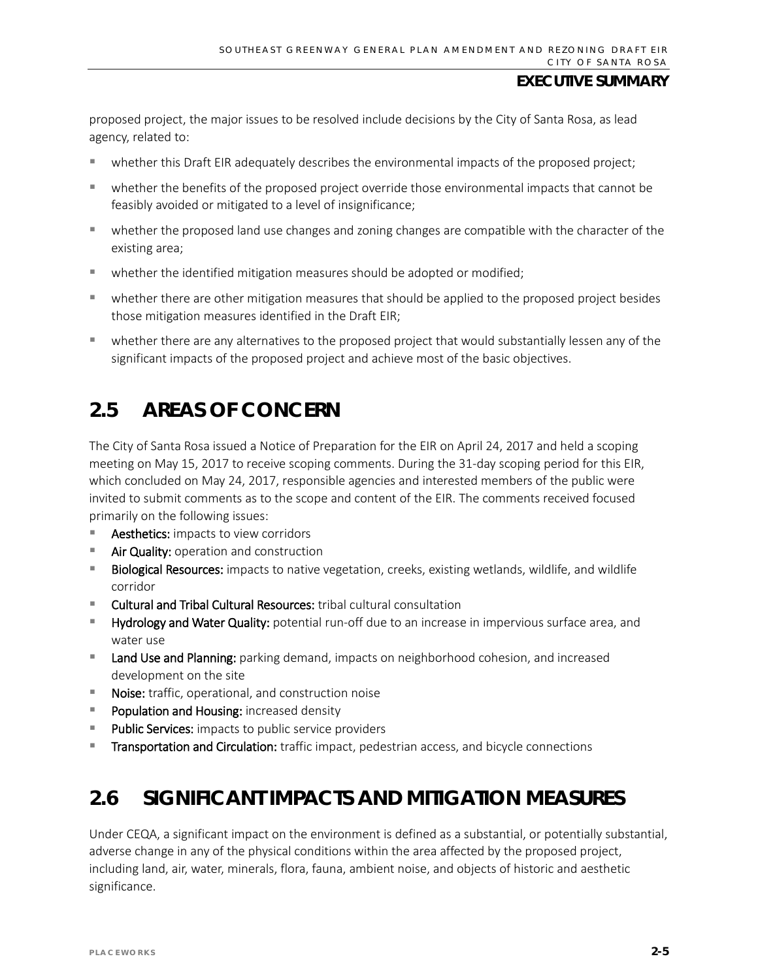proposed project, the major issues to be resolved include decisions by the City of Santa Rosa, as lead agency, related to:

- whether this Draft EIR adequately describes the environmental impacts of the proposed project;
- whether the benefits of the proposed project override those environmental impacts that cannot be feasibly avoided or mitigated to a level of insignificance;
- whether the proposed land use changes and zoning changes are compatible with the character of the existing area;
- whether the identified mitigation measures should be adopted or modified;
- whether there are other mitigation measures that should be applied to the proposed project besides those mitigation measures identified in the Draft EIR;
- whether there are any alternatives to the proposed project that would substantially lessen any of the significant impacts of the proposed project and achieve most of the basic objectives.

## **2.5 AREAS OF CONCERN**

The City of Santa Rosa issued a Notice of Preparation for the EIR on April 24, 2017 and held a scoping meeting on May 15, 2017 to receive scoping comments. During the 31-day scoping period for this EIR, which concluded on May 24, 2017, responsible agencies and interested members of the public were invited to submit comments as to the scope and content of the EIR. The comments received focused primarily on the following issues:

- Aesthetics: impacts to view corridors
- **Air Quality:** operation and construction
- **Biological Resources:** impacts to native vegetation, creeks, existing wetlands, wildlife, and wildlife corridor
- Cultural and Tribal Cultural Resources: tribal cultural consultation
- **Hydrology and Water Quality:** potential run-off due to an increase in impervious surface area, and water use
- **Land Use and Planning:** parking demand, impacts on neighborhood cohesion, and increased development on the site
- Noise: traffic, operational, and construction noise
- **Population and Housing:** increased density
- **Public Services:** impacts to public service providers
- **Transportation and Circulation:** traffic impact, pedestrian access, and bicycle connections

## **2.6 SIGNIFICANT IMPACTS AND MITIGATION MEASURES**

Under CEQA, a significant impact on the environment is defined as a substantial, or potentially substantial, adverse change in any of the physical conditions within the area affected by the proposed project, including land, air, water, minerals, flora, fauna, ambient noise, and objects of historic and aesthetic significance.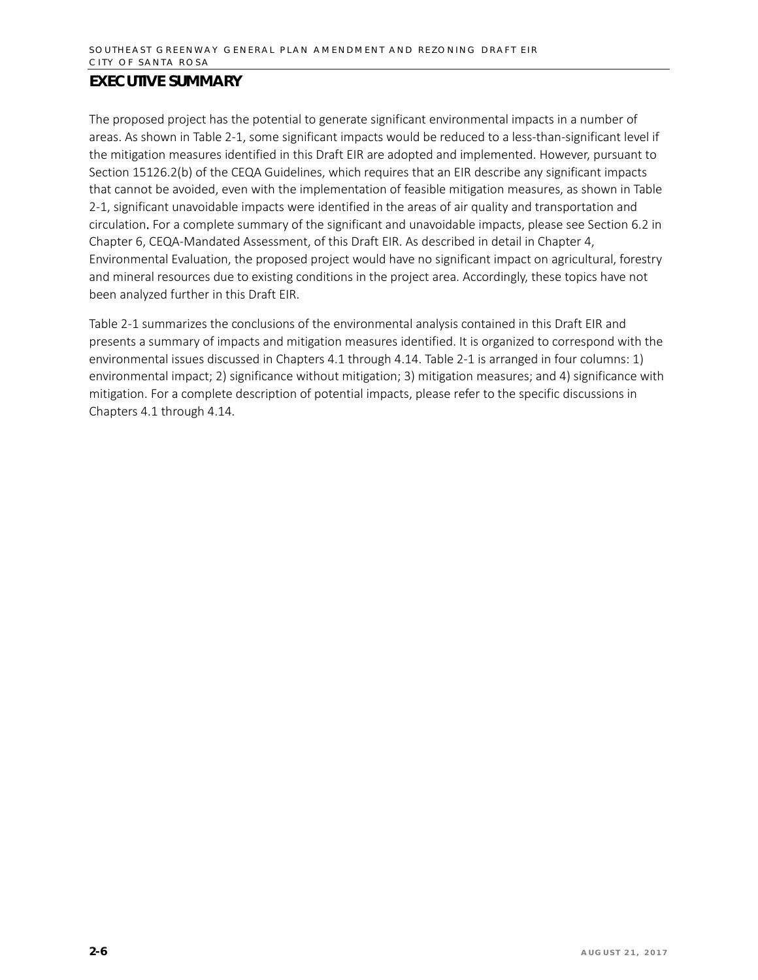The proposed project has the potential to generate significant environmental impacts in a number of areas. As shown in Table 2-1, some significant impacts would be reduced to a less-than-significant level if the mitigation measures identified in this Draft EIR are adopted and implemented. However, pursuant to Section 15126.2(b) of the CEQA Guidelines, which requires that an EIR describe any significant impacts that cannot be avoided, even with the implementation of feasible mitigation measures, as shown in Table 2-1, significant unavoidable impacts were identified in the areas of air quality and transportation and circulation. For a complete summary of the significant and unavoidable impacts, please see Section 6.2 in Chapter 6, CEQA-Mandated Assessment, of this Draft EIR. As described in detail in Chapter 4, Environmental Evaluation, the proposed project would have no significant impact on agricultural, forestry and mineral resources due to existing conditions in the project area. Accordingly, these topics have not been analyzed further in this Draft EIR.

Table 2-1 summarizes the conclusions of the environmental analysis contained in this Draft EIR and presents a summary of impacts and mitigation measures identified. It is organized to correspond with the environmental issues discussed in Chapters 4.1 through 4.14. Table 2-1 is arranged in four columns: 1) environmental impact; 2) significance without mitigation; 3) mitigation measures; and 4) significance with mitigation. For a complete description of potential impacts, please refer to the specific discussions in Chapters 4.1 through 4.14.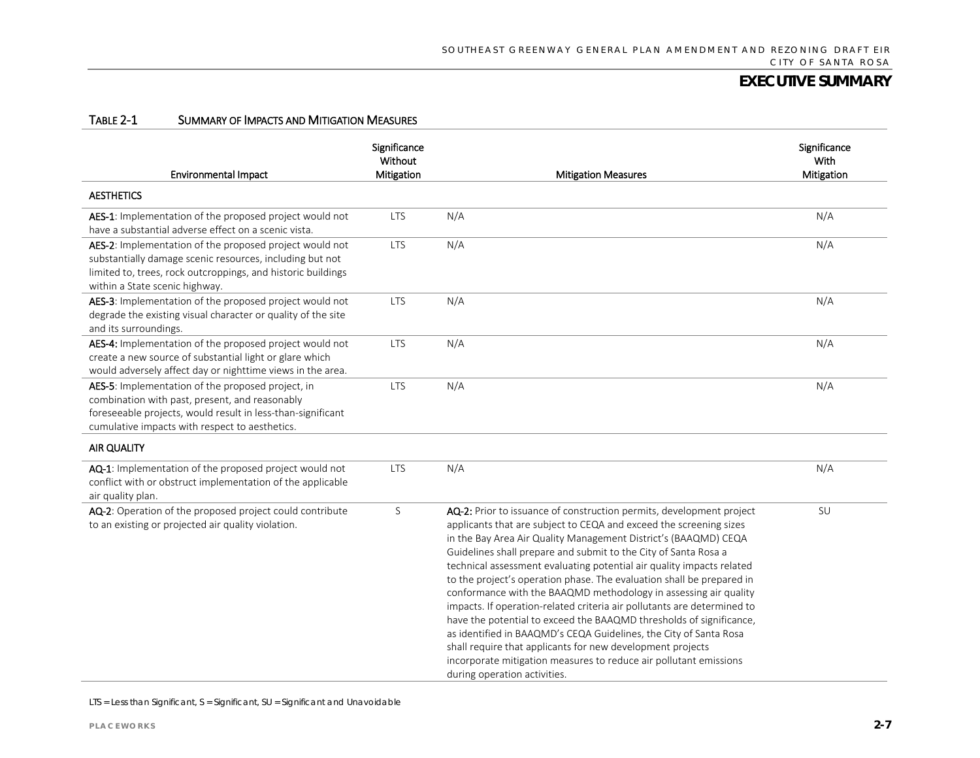#### TABLE 2-1 SUMMARY OF IMPACTS AND MITIGATION MEASURES

| <b>Environmental Impact</b>                                                                                                                                                                                           | Significance<br>Without<br>Mitigation | <b>Mitigation Measures</b>                                                                                                                                                                                                                                                                                                                                                                                                                                                                                                                                                                                                                                                                                                                                                                                                                                                                       | Significance<br>With<br>Mitigation |
|-----------------------------------------------------------------------------------------------------------------------------------------------------------------------------------------------------------------------|---------------------------------------|--------------------------------------------------------------------------------------------------------------------------------------------------------------------------------------------------------------------------------------------------------------------------------------------------------------------------------------------------------------------------------------------------------------------------------------------------------------------------------------------------------------------------------------------------------------------------------------------------------------------------------------------------------------------------------------------------------------------------------------------------------------------------------------------------------------------------------------------------------------------------------------------------|------------------------------------|
| <b>AESTHETICS</b>                                                                                                                                                                                                     |                                       |                                                                                                                                                                                                                                                                                                                                                                                                                                                                                                                                                                                                                                                                                                                                                                                                                                                                                                  |                                    |
| AES-1: Implementation of the proposed project would not<br>have a substantial adverse effect on a scenic vista.                                                                                                       | <b>LTS</b>                            | N/A                                                                                                                                                                                                                                                                                                                                                                                                                                                                                                                                                                                                                                                                                                                                                                                                                                                                                              | N/A                                |
| AES-2: Implementation of the proposed project would not<br>substantially damage scenic resources, including but not<br>limited to, trees, rock outcroppings, and historic buildings<br>within a State scenic highway. | <b>LTS</b>                            | N/A                                                                                                                                                                                                                                                                                                                                                                                                                                                                                                                                                                                                                                                                                                                                                                                                                                                                                              | N/A                                |
| AES-3: Implementation of the proposed project would not<br>degrade the existing visual character or quality of the site<br>and its surroundings.                                                                      | <b>LTS</b>                            | N/A                                                                                                                                                                                                                                                                                                                                                                                                                                                                                                                                                                                                                                                                                                                                                                                                                                                                                              | N/A                                |
| AES-4: Implementation of the proposed project would not<br>create a new source of substantial light or glare which<br>would adversely affect day or nighttime views in the area.                                      | <b>LTS</b>                            | N/A                                                                                                                                                                                                                                                                                                                                                                                                                                                                                                                                                                                                                                                                                                                                                                                                                                                                                              | N/A                                |
| AES-5: Implementation of the proposed project, in<br>combination with past, present, and reasonably<br>foreseeable projects, would result in less-than-significant<br>cumulative impacts with respect to aesthetics.  | <b>LTS</b>                            | N/A                                                                                                                                                                                                                                                                                                                                                                                                                                                                                                                                                                                                                                                                                                                                                                                                                                                                                              | N/A                                |
| AIR QUALITY                                                                                                                                                                                                           |                                       |                                                                                                                                                                                                                                                                                                                                                                                                                                                                                                                                                                                                                                                                                                                                                                                                                                                                                                  |                                    |
| AQ-1: Implementation of the proposed project would not<br>conflict with or obstruct implementation of the applicable<br>air quality plan.                                                                             | <b>LTS</b>                            | N/A                                                                                                                                                                                                                                                                                                                                                                                                                                                                                                                                                                                                                                                                                                                                                                                                                                                                                              | N/A                                |
| AQ-2: Operation of the proposed project could contribute<br>to an existing or projected air quality violation.                                                                                                        | S                                     | AQ-2: Prior to issuance of construction permits, development project<br>applicants that are subject to CEQA and exceed the screening sizes<br>in the Bay Area Air Quality Management District's (BAAQMD) CEQA<br>Guidelines shall prepare and submit to the City of Santa Rosa a<br>technical assessment evaluating potential air quality impacts related<br>to the project's operation phase. The evaluation shall be prepared in<br>conformance with the BAAQMD methodology in assessing air quality<br>impacts. If operation-related criteria air pollutants are determined to<br>have the potential to exceed the BAAQMD thresholds of significance,<br>as identified in BAAQMD's CEQA Guidelines, the City of Santa Rosa<br>shall require that applicants for new development projects<br>incorporate mitigation measures to reduce air pollutant emissions<br>during operation activities. | SU                                 |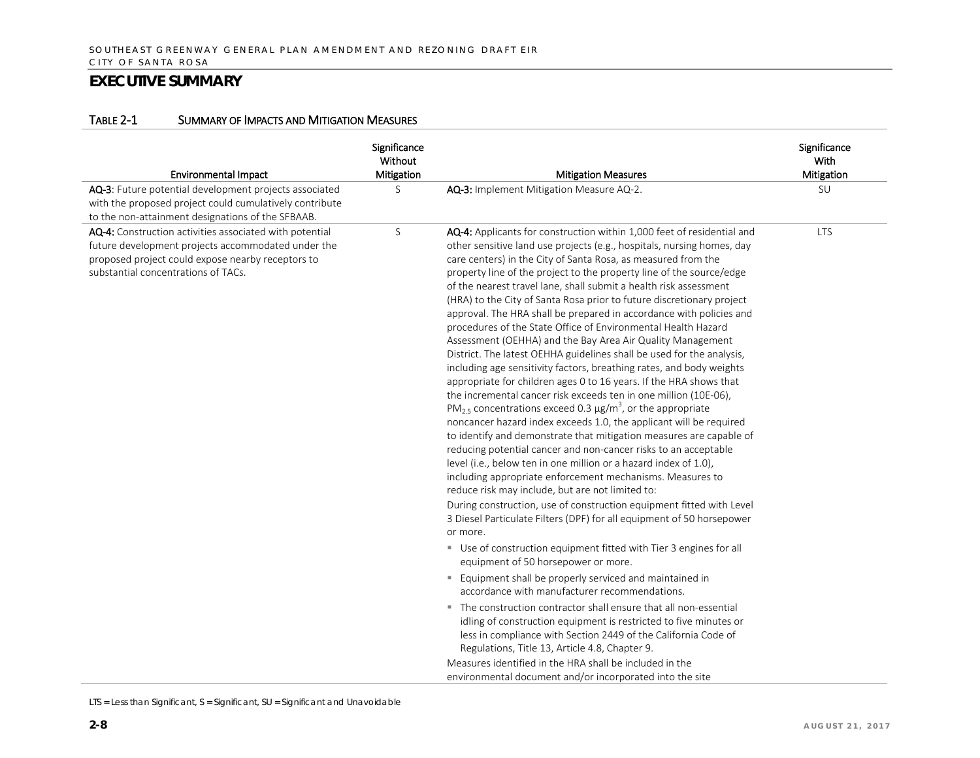#### TABLE 2-1 SUMMARY OF IMPACTS AND MITIGATION MEASURES

| <b>Environmental Impact</b>                                                                                                                                                                               | Significance<br>Without<br>Mitigation | <b>Mitigation Measures</b>                                                                                                                                                                                                                                                                                                                                                                                                                                                                                                                                                                                                                                                                                                                                                                                                                                                                                                                                                                                                                                                                                                                                                                                                                                                                                                                                                                                                                                                                                                                                                                                                                                                                                       | Significance<br>With<br>Mitigation |
|-----------------------------------------------------------------------------------------------------------------------------------------------------------------------------------------------------------|---------------------------------------|------------------------------------------------------------------------------------------------------------------------------------------------------------------------------------------------------------------------------------------------------------------------------------------------------------------------------------------------------------------------------------------------------------------------------------------------------------------------------------------------------------------------------------------------------------------------------------------------------------------------------------------------------------------------------------------------------------------------------------------------------------------------------------------------------------------------------------------------------------------------------------------------------------------------------------------------------------------------------------------------------------------------------------------------------------------------------------------------------------------------------------------------------------------------------------------------------------------------------------------------------------------------------------------------------------------------------------------------------------------------------------------------------------------------------------------------------------------------------------------------------------------------------------------------------------------------------------------------------------------------------------------------------------------------------------------------------------------|------------------------------------|
| AQ-3: Future potential development projects associated<br>with the proposed project could cumulatively contribute<br>to the non-attainment designations of the SFBAAB.                                    | S                                     | AQ-3: Implement Mitigation Measure AQ-2.                                                                                                                                                                                                                                                                                                                                                                                                                                                                                                                                                                                                                                                                                                                                                                                                                                                                                                                                                                                                                                                                                                                                                                                                                                                                                                                                                                                                                                                                                                                                                                                                                                                                         | SU                                 |
| AQ-4: Construction activities associated with potential<br>future development projects accommodated under the<br>proposed project could expose nearby receptors to<br>substantial concentrations of TACs. | S                                     | AQ-4: Applicants for construction within 1,000 feet of residential and<br>other sensitive land use projects (e.g., hospitals, nursing homes, day<br>care centers) in the City of Santa Rosa, as measured from the<br>property line of the project to the property line of the source/edge<br>of the nearest travel lane, shall submit a health risk assessment<br>(HRA) to the City of Santa Rosa prior to future discretionary project<br>approval. The HRA shall be prepared in accordance with policies and<br>procedures of the State Office of Environmental Health Hazard<br>Assessment (OEHHA) and the Bay Area Air Quality Management<br>District. The latest OEHHA guidelines shall be used for the analysis,<br>including age sensitivity factors, breathing rates, and body weights<br>appropriate for children ages 0 to 16 years. If the HRA shows that<br>the incremental cancer risk exceeds ten in one million (10E-06),<br>PM <sub>2.5</sub> concentrations exceed 0.3 $\mu$ g/m <sup>3</sup> , or the appropriate<br>noncancer hazard index exceeds 1.0, the applicant will be required<br>to identify and demonstrate that mitigation measures are capable of<br>reducing potential cancer and non-cancer risks to an acceptable<br>level (i.e., below ten in one million or a hazard index of 1.0),<br>including appropriate enforcement mechanisms. Measures to<br>reduce risk may include, but are not limited to:<br>During construction, use of construction equipment fitted with Level<br>3 Diesel Particulate Filters (DPF) for all equipment of 50 horsepower<br>or more.<br>Use of construction equipment fitted with Tier 3 engines for all<br>equipment of 50 horsepower or more. | <b>LTS</b>                         |
|                                                                                                                                                                                                           |                                       | Equipment shall be properly serviced and maintained in<br>accordance with manufacturer recommendations.                                                                                                                                                                                                                                                                                                                                                                                                                                                                                                                                                                                                                                                                                                                                                                                                                                                                                                                                                                                                                                                                                                                                                                                                                                                                                                                                                                                                                                                                                                                                                                                                          |                                    |
|                                                                                                                                                                                                           |                                       | • The construction contractor shall ensure that all non-essential<br>idling of construction equipment is restricted to five minutes or<br>less in compliance with Section 2449 of the California Code of<br>Regulations, Title 13, Article 4.8, Chapter 9.                                                                                                                                                                                                                                                                                                                                                                                                                                                                                                                                                                                                                                                                                                                                                                                                                                                                                                                                                                                                                                                                                                                                                                                                                                                                                                                                                                                                                                                       |                                    |
|                                                                                                                                                                                                           |                                       | Measures identified in the HRA shall be included in the<br>environmental document and/or incorporated into the site                                                                                                                                                                                                                                                                                                                                                                                                                                                                                                                                                                                                                                                                                                                                                                                                                                                                                                                                                                                                                                                                                                                                                                                                                                                                                                                                                                                                                                                                                                                                                                                              |                                    |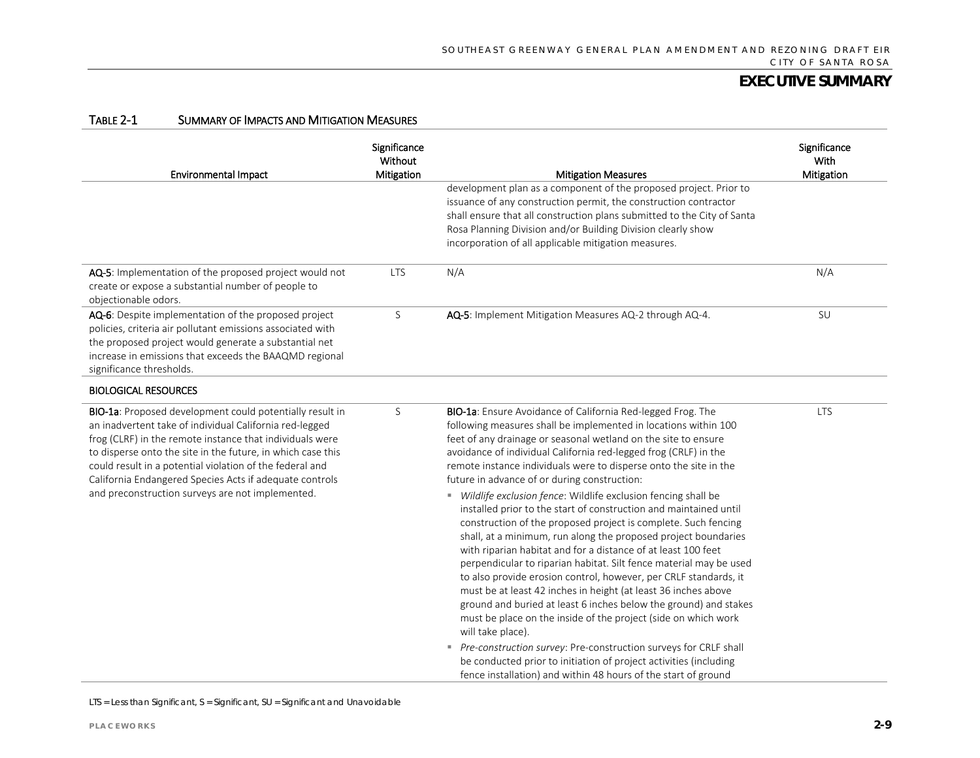| <b>Environmental Impact</b>                                                                                                                                                                                                                                                                                                                                                                                               | Significance<br>Without<br>Mitigation | <b>Mitigation Measures</b>                                                                                                                                                                                                                                                                                                                                                                                                                                                                                                                                                                                                                                                                                                                                                                                                                                                                                                                                                                                                                                                                                    | Significance<br>With<br>Mitigation |
|---------------------------------------------------------------------------------------------------------------------------------------------------------------------------------------------------------------------------------------------------------------------------------------------------------------------------------------------------------------------------------------------------------------------------|---------------------------------------|---------------------------------------------------------------------------------------------------------------------------------------------------------------------------------------------------------------------------------------------------------------------------------------------------------------------------------------------------------------------------------------------------------------------------------------------------------------------------------------------------------------------------------------------------------------------------------------------------------------------------------------------------------------------------------------------------------------------------------------------------------------------------------------------------------------------------------------------------------------------------------------------------------------------------------------------------------------------------------------------------------------------------------------------------------------------------------------------------------------|------------------------------------|
|                                                                                                                                                                                                                                                                                                                                                                                                                           |                                       | development plan as a component of the proposed project. Prior to<br>issuance of any construction permit, the construction contractor<br>shall ensure that all construction plans submitted to the City of Santa<br>Rosa Planning Division and/or Building Division clearly show<br>incorporation of all applicable mitigation measures.                                                                                                                                                                                                                                                                                                                                                                                                                                                                                                                                                                                                                                                                                                                                                                      |                                    |
| AQ-5: Implementation of the proposed project would not<br>create or expose a substantial number of people to<br>objectionable odors.                                                                                                                                                                                                                                                                                      | <b>LTS</b>                            | N/A                                                                                                                                                                                                                                                                                                                                                                                                                                                                                                                                                                                                                                                                                                                                                                                                                                                                                                                                                                                                                                                                                                           | N/A                                |
| AQ-6: Despite implementation of the proposed project<br>policies, criteria air pollutant emissions associated with<br>the proposed project would generate a substantial net<br>increase in emissions that exceeds the BAAQMD regional<br>significance thresholds.                                                                                                                                                         | S                                     | AQ-5: Implement Mitigation Measures AQ-2 through AQ-4.                                                                                                                                                                                                                                                                                                                                                                                                                                                                                                                                                                                                                                                                                                                                                                                                                                                                                                                                                                                                                                                        | SU                                 |
| <b>BIOLOGICAL RESOURCES</b>                                                                                                                                                                                                                                                                                                                                                                                               |                                       |                                                                                                                                                                                                                                                                                                                                                                                                                                                                                                                                                                                                                                                                                                                                                                                                                                                                                                                                                                                                                                                                                                               |                                    |
| BIO-1a: Proposed development could potentially result in<br>an inadvertent take of individual California red-legged<br>frog (CLRF) in the remote instance that individuals were<br>to disperse onto the site in the future, in which case this<br>could result in a potential violation of the federal and<br>California Endangered Species Acts if adequate controls<br>and preconstruction surveys are not implemented. | S                                     | BIO-1a: Ensure Avoidance of California Red-legged Frog. The<br>following measures shall be implemented in locations within 100<br>feet of any drainage or seasonal wetland on the site to ensure<br>avoidance of individual California red-legged frog (CRLF) in the<br>remote instance individuals were to disperse onto the site in the<br>future in advance of or during construction:<br>" Wildlife exclusion fence: Wildlife exclusion fencing shall be<br>installed prior to the start of construction and maintained until<br>construction of the proposed project is complete. Such fencing<br>shall, at a minimum, run along the proposed project boundaries<br>with riparian habitat and for a distance of at least 100 feet<br>perpendicular to riparian habitat. Silt fence material may be used<br>to also provide erosion control, however, per CRLF standards, it<br>must be at least 42 inches in height (at least 36 inches above<br>ground and buried at least 6 inches below the ground) and stakes<br>must be place on the inside of the project (side on which work<br>will take place). | <b>LTS</b>                         |
|                                                                                                                                                                                                                                                                                                                                                                                                                           |                                       | Pre-construction survey: Pre-construction surveys for CRLF shall<br>be conducted prior to initiation of project activities (including<br>fence installation) and within 48 hours of the start of ground                                                                                                                                                                                                                                                                                                                                                                                                                                                                                                                                                                                                                                                                                                                                                                                                                                                                                                       |                                    |

#### TABLE 2-1 SUMMARY OF IMPACTS AND MITIGATION MEASURES

LTS = Less than Significant, S = Significant, SU = Significant and Unavoidable

 $\overline{a}$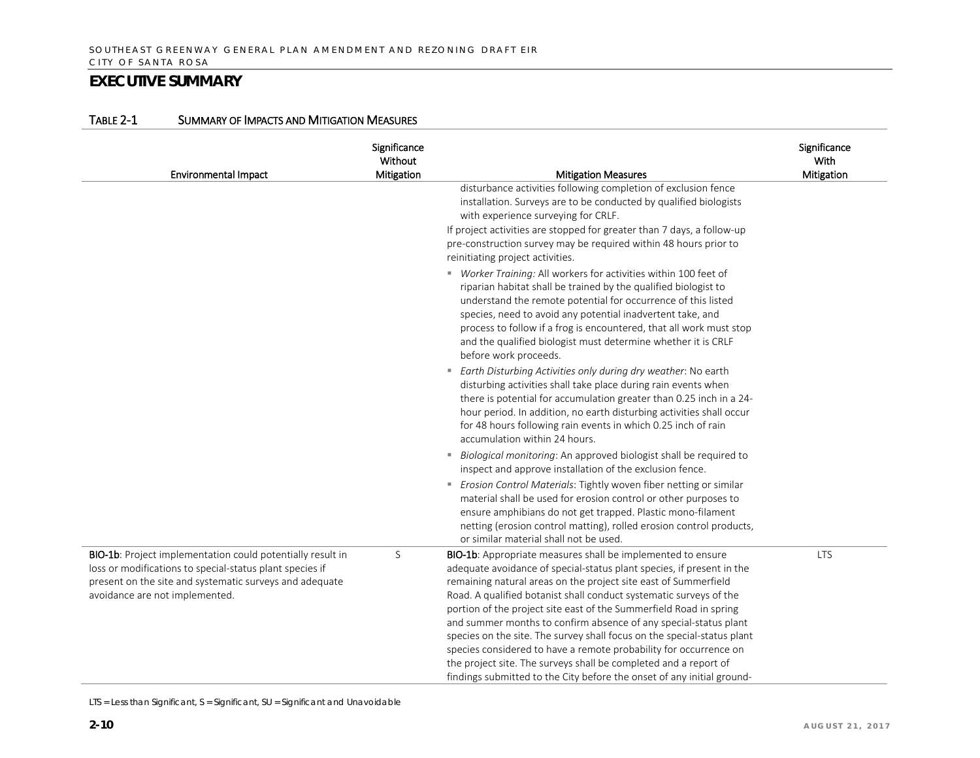| <b>Environmental Impact</b>                                                                                                                                                                                         | Significance<br>Without<br>Mitigation | <b>Mitigation Measures</b>                                                                                                                                                                                                                                                                                                                                                                                                                                                                                                                                                                                                                                                                                            | Significance<br>With<br>Mitigation |
|---------------------------------------------------------------------------------------------------------------------------------------------------------------------------------------------------------------------|---------------------------------------|-----------------------------------------------------------------------------------------------------------------------------------------------------------------------------------------------------------------------------------------------------------------------------------------------------------------------------------------------------------------------------------------------------------------------------------------------------------------------------------------------------------------------------------------------------------------------------------------------------------------------------------------------------------------------------------------------------------------------|------------------------------------|
|                                                                                                                                                                                                                     |                                       | disturbance activities following completion of exclusion fence<br>installation. Surveys are to be conducted by qualified biologists<br>with experience surveying for CRLF.<br>If project activities are stopped for greater than 7 days, a follow-up<br>pre-construction survey may be required within 48 hours prior to<br>reinitiating project activities.                                                                                                                                                                                                                                                                                                                                                          |                                    |
|                                                                                                                                                                                                                     |                                       | " Worker Training: All workers for activities within 100 feet of<br>riparian habitat shall be trained by the qualified biologist to<br>understand the remote potential for occurrence of this listed<br>species, need to avoid any potential inadvertent take, and<br>process to follow if a frog is encountered, that all work must stop<br>and the qualified biologist must determine whether it is CRLF<br>before work proceeds.                                                                                                                                                                                                                                                                                   |                                    |
|                                                                                                                                                                                                                     |                                       | " Earth Disturbing Activities only during dry weather: No earth<br>disturbing activities shall take place during rain events when<br>there is potential for accumulation greater than 0.25 inch in a 24-<br>hour period. In addition, no earth disturbing activities shall occur<br>for 48 hours following rain events in which 0.25 inch of rain<br>accumulation within 24 hours.                                                                                                                                                                                                                                                                                                                                    |                                    |
|                                                                                                                                                                                                                     |                                       | Biological monitoring: An approved biologist shall be required to<br>inspect and approve installation of the exclusion fence.<br>Erosion Control Materials: Tightly woven fiber netting or similar<br>material shall be used for erosion control or other purposes to<br>ensure amphibians do not get trapped. Plastic mono-filament<br>netting (erosion control matting), rolled erosion control products,<br>or similar material shall not be used.                                                                                                                                                                                                                                                                 |                                    |
| BIO-1b: Project implementation could potentially result in<br>loss or modifications to special-status plant species if<br>present on the site and systematic surveys and adequate<br>avoidance are not implemented. | S                                     | BIO-1b: Appropriate measures shall be implemented to ensure<br>adequate avoidance of special-status plant species, if present in the<br>remaining natural areas on the project site east of Summerfield<br>Road. A qualified botanist shall conduct systematic surveys of the<br>portion of the project site east of the Summerfield Road in spring<br>and summer months to confirm absence of any special-status plant<br>species on the site. The survey shall focus on the special-status plant<br>species considered to have a remote probability for occurrence on<br>the project site. The surveys shall be completed and a report of<br>findings submitted to the City before the onset of any initial ground- | <b>LTS</b>                         |

#### TABLE 2-1 SUMMARY OF IMPACTS AND MITIGATION MEASURES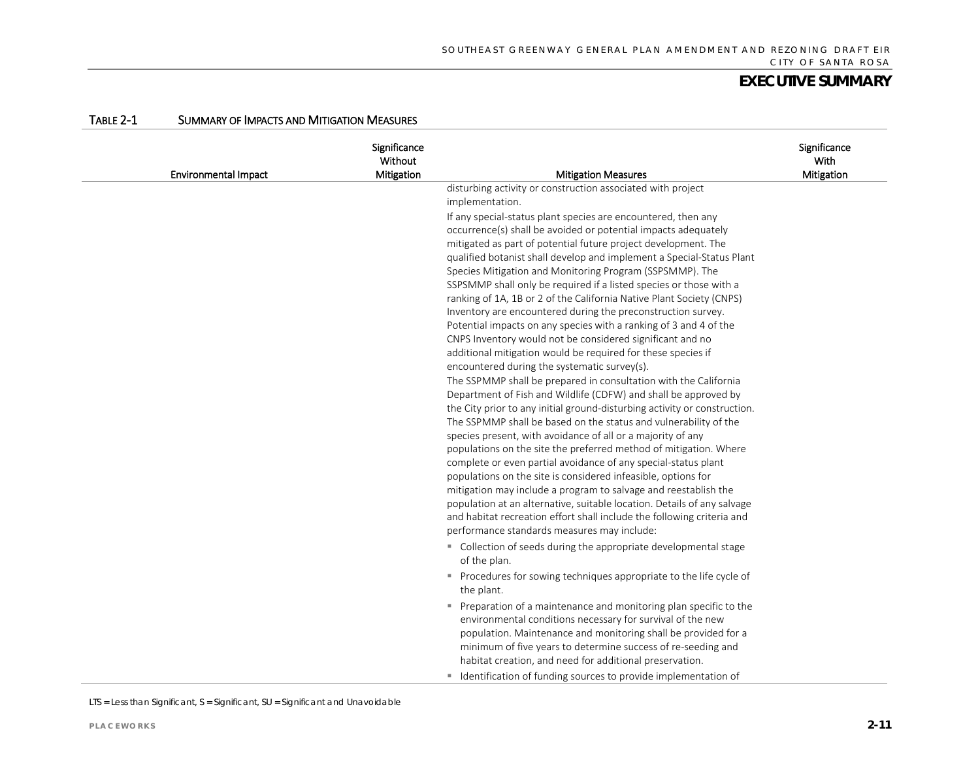|  | TABLE 2-1 | SUMMARY OF IMPACTS AND MITIGATION MEASURES |  |
|--|-----------|--------------------------------------------|--|
|--|-----------|--------------------------------------------|--|

| <b>Environmental Impact</b> | Significance<br>Without<br>Mitigation | <b>Mitigation Measures</b>                                                                                                                                                                                                                                                                                                                                                                                                                                                                                                                                                                                                                                                                                                                                                                                                                                                                                                                                                                                                                                                                                                                                                                                                                                                                                                                                                                                                                                                                                                                                                                                                                   | Significance<br>With<br>Mitigation |
|-----------------------------|---------------------------------------|----------------------------------------------------------------------------------------------------------------------------------------------------------------------------------------------------------------------------------------------------------------------------------------------------------------------------------------------------------------------------------------------------------------------------------------------------------------------------------------------------------------------------------------------------------------------------------------------------------------------------------------------------------------------------------------------------------------------------------------------------------------------------------------------------------------------------------------------------------------------------------------------------------------------------------------------------------------------------------------------------------------------------------------------------------------------------------------------------------------------------------------------------------------------------------------------------------------------------------------------------------------------------------------------------------------------------------------------------------------------------------------------------------------------------------------------------------------------------------------------------------------------------------------------------------------------------------------------------------------------------------------------|------------------------------------|
|                             |                                       | disturbing activity or construction associated with project<br>implementation.                                                                                                                                                                                                                                                                                                                                                                                                                                                                                                                                                                                                                                                                                                                                                                                                                                                                                                                                                                                                                                                                                                                                                                                                                                                                                                                                                                                                                                                                                                                                                               |                                    |
|                             |                                       | If any special-status plant species are encountered, then any<br>occurrence(s) shall be avoided or potential impacts adequately<br>mitigated as part of potential future project development. The<br>qualified botanist shall develop and implement a Special-Status Plant<br>Species Mitigation and Monitoring Program (SSPSMMP). The<br>SSPSMMP shall only be required if a listed species or those with a<br>ranking of 1A, 1B or 2 of the California Native Plant Society (CNPS)<br>Inventory are encountered during the preconstruction survey.<br>Potential impacts on any species with a ranking of 3 and 4 of the<br>CNPS Inventory would not be considered significant and no<br>additional mitigation would be required for these species if<br>encountered during the systematic survey(s).<br>The SSPMMP shall be prepared in consultation with the California<br>Department of Fish and Wildlife (CDFW) and shall be approved by<br>the City prior to any initial ground-disturbing activity or construction.<br>The SSPMMP shall be based on the status and vulnerability of the<br>species present, with avoidance of all or a majority of any<br>populations on the site the preferred method of mitigation. Where<br>complete or even partial avoidance of any special-status plant<br>populations on the site is considered infeasible, options for<br>mitigation may include a program to salvage and reestablish the<br>population at an alternative, suitable location. Details of any salvage<br>and habitat recreation effort shall include the following criteria and<br>performance standards measures may include: |                                    |
|                             |                                       | • Collection of seeds during the appropriate developmental stage<br>of the plan.                                                                                                                                                                                                                                                                                                                                                                                                                                                                                                                                                                                                                                                                                                                                                                                                                                                                                                                                                                                                                                                                                                                                                                                                                                                                                                                                                                                                                                                                                                                                                             |                                    |
|                             |                                       | " Procedures for sowing techniques appropriate to the life cycle of<br>the plant.                                                                                                                                                                                                                                                                                                                                                                                                                                                                                                                                                                                                                                                                                                                                                                                                                                                                                                                                                                                                                                                                                                                                                                                                                                                                                                                                                                                                                                                                                                                                                            |                                    |
|                             |                                       | Preparation of a maintenance and monitoring plan specific to the<br>environmental conditions necessary for survival of the new<br>population. Maintenance and monitoring shall be provided for a<br>minimum of five years to determine success of re-seeding and<br>habitat creation, and need for additional preservation.<br>" Identification of funding sources to provide implementation of                                                                                                                                                                                                                                                                                                                                                                                                                                                                                                                                                                                                                                                                                                                                                                                                                                                                                                                                                                                                                                                                                                                                                                                                                                              |                                    |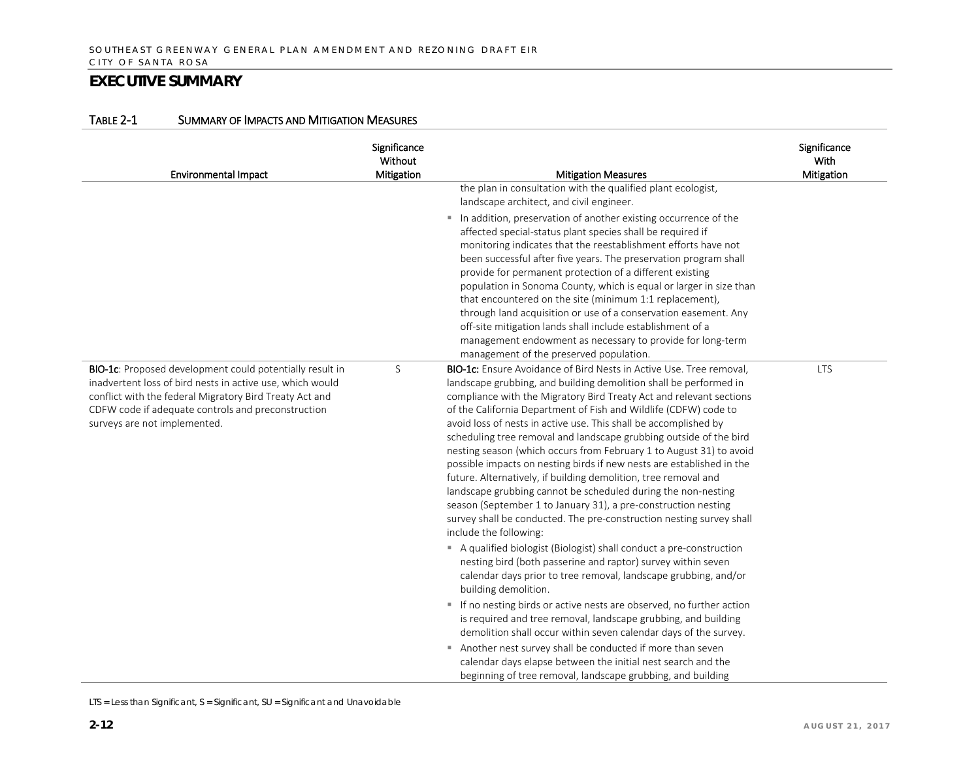| <b>Environmental Impact</b>                                                                                                                                                                                                                                            | Significance<br>Without<br>Mitigation | <b>Mitigation Measures</b>                                                                                                                                                                                                                                                                                                                                                                                                                                                                                                                                                                                                                                                                                                                                                                                                                                                                   | Significance<br>With<br>Mitigation |
|------------------------------------------------------------------------------------------------------------------------------------------------------------------------------------------------------------------------------------------------------------------------|---------------------------------------|----------------------------------------------------------------------------------------------------------------------------------------------------------------------------------------------------------------------------------------------------------------------------------------------------------------------------------------------------------------------------------------------------------------------------------------------------------------------------------------------------------------------------------------------------------------------------------------------------------------------------------------------------------------------------------------------------------------------------------------------------------------------------------------------------------------------------------------------------------------------------------------------|------------------------------------|
|                                                                                                                                                                                                                                                                        |                                       | the plan in consultation with the qualified plant ecologist,<br>landscape architect, and civil engineer.<br>In addition, preservation of another existing occurrence of the<br>affected special-status plant species shall be required if<br>monitoring indicates that the reestablishment efforts have not<br>been successful after five years. The preservation program shall<br>provide for permanent protection of a different existing<br>population in Sonoma County, which is equal or larger in size than<br>that encountered on the site (minimum 1:1 replacement),<br>through land acquisition or use of a conservation easement. Any<br>off-site mitigation lands shall include establishment of a<br>management endowment as necessary to provide for long-term<br>management of the preserved population.                                                                       |                                    |
| BIO-1c: Proposed development could potentially result in<br>inadvertent loss of bird nests in active use, which would<br>conflict with the federal Migratory Bird Treaty Act and<br>CDFW code if adequate controls and preconstruction<br>surveys are not implemented. | S                                     | <b>BIO-1c:</b> Ensure Avoidance of Bird Nests in Active Use. Tree removal,<br>landscape grubbing, and building demolition shall be performed in<br>compliance with the Migratory Bird Treaty Act and relevant sections<br>of the California Department of Fish and Wildlife (CDFW) code to<br>avoid loss of nests in active use. This shall be accomplished by<br>scheduling tree removal and landscape grubbing outside of the bird<br>nesting season (which occurs from February 1 to August 31) to avoid<br>possible impacts on nesting birds if new nests are established in the<br>future. Alternatively, if building demolition, tree removal and<br>landscape grubbing cannot be scheduled during the non-nesting<br>season (September 1 to January 31), a pre-construction nesting<br>survey shall be conducted. The pre-construction nesting survey shall<br>include the following: | <b>LTS</b>                         |
|                                                                                                                                                                                                                                                                        |                                       | A qualified biologist (Biologist) shall conduct a pre-construction<br>nesting bird (both passerine and raptor) survey within seven<br>calendar days prior to tree removal, landscape grubbing, and/or<br>building demolition.<br>If no nesting birds or active nests are observed, no further action<br>is required and tree removal, landscape grubbing, and building<br>demolition shall occur within seven calendar days of the survey.<br>Another nest survey shall be conducted if more than seven<br>calendar days elapse between the initial nest search and the<br>beginning of tree removal, landscape grubbing, and building                                                                                                                                                                                                                                                       |                                    |

#### TABLE 2-1 SUMMARY OF IMPACTS AND MITIGATION MEASURES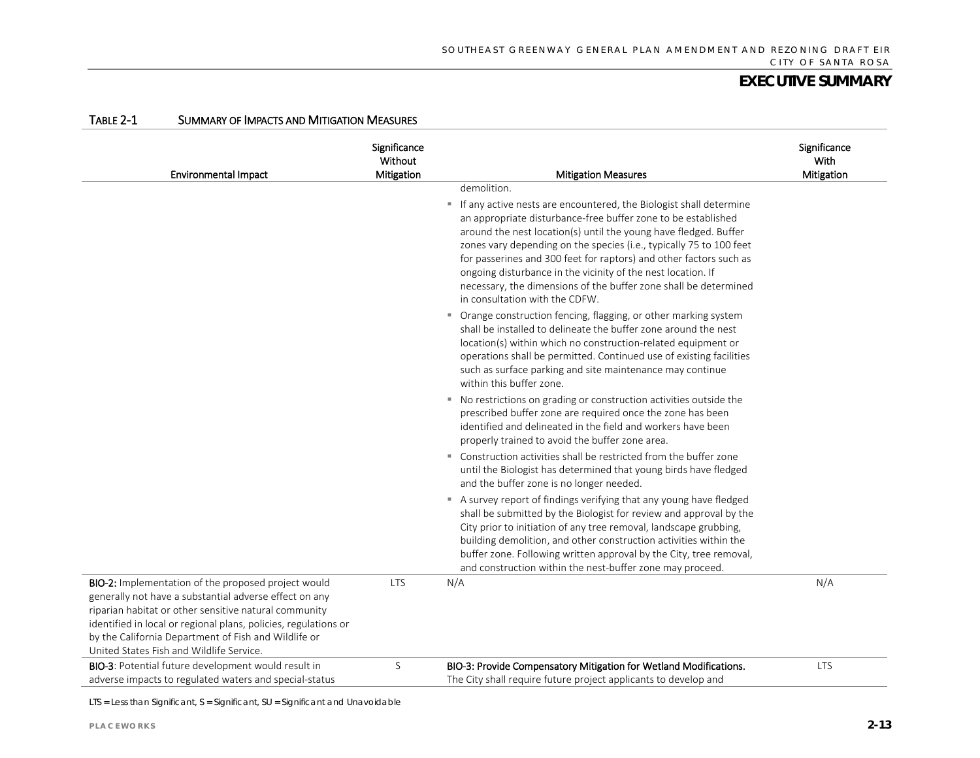| <b>Environmental Impact</b>                                                                                                                                                                                                                                                                                                                   | Significance<br>Without<br>Mitigation | <b>Mitigation Measures</b>                                                                                                                                                                                                                                                                                                                                                                                                                                                                                                                | Significance<br>With<br>Mitigation |
|-----------------------------------------------------------------------------------------------------------------------------------------------------------------------------------------------------------------------------------------------------------------------------------------------------------------------------------------------|---------------------------------------|-------------------------------------------------------------------------------------------------------------------------------------------------------------------------------------------------------------------------------------------------------------------------------------------------------------------------------------------------------------------------------------------------------------------------------------------------------------------------------------------------------------------------------------------|------------------------------------|
|                                                                                                                                                                                                                                                                                                                                               |                                       | demolition.<br>If any active nests are encountered, the Biologist shall determine<br>an appropriate disturbance-free buffer zone to be established<br>around the nest location(s) until the young have fledged. Buffer<br>zones vary depending on the species (i.e., typically 75 to 100 feet<br>for passerines and 300 feet for raptors) and other factors such as<br>ongoing disturbance in the vicinity of the nest location. If<br>necessary, the dimensions of the buffer zone shall be determined<br>in consultation with the CDFW. |                                    |
|                                                                                                                                                                                                                                                                                                                                               |                                       | • Orange construction fencing, flagging, or other marking system<br>shall be installed to delineate the buffer zone around the nest<br>location(s) within which no construction-related equipment or<br>operations shall be permitted. Continued use of existing facilities<br>such as surface parking and site maintenance may continue<br>within this buffer zone.                                                                                                                                                                      |                                    |
|                                                                                                                                                                                                                                                                                                                                               |                                       | • No restrictions on grading or construction activities outside the<br>prescribed buffer zone are required once the zone has been<br>identified and delineated in the field and workers have been<br>properly trained to avoid the buffer zone area.                                                                                                                                                                                                                                                                                      |                                    |
|                                                                                                                                                                                                                                                                                                                                               |                                       | ■ Construction activities shall be restricted from the buffer zone<br>until the Biologist has determined that young birds have fledged<br>and the buffer zone is no longer needed.                                                                                                                                                                                                                                                                                                                                                        |                                    |
|                                                                                                                                                                                                                                                                                                                                               |                                       | A survey report of findings verifying that any young have fledged<br>shall be submitted by the Biologist for review and approval by the<br>City prior to initiation of any tree removal, landscape grubbing,<br>building demolition, and other construction activities within the<br>buffer zone. Following written approval by the City, tree removal,<br>and construction within the nest-buffer zone may proceed.                                                                                                                      |                                    |
| BIO-2: Implementation of the proposed project would<br>generally not have a substantial adverse effect on any<br>riparian habitat or other sensitive natural community<br>identified in local or regional plans, policies, regulations or<br>by the California Department of Fish and Wildlife or<br>United States Fish and Wildlife Service. | <b>LTS</b>                            | N/A                                                                                                                                                                                                                                                                                                                                                                                                                                                                                                                                       | N/A                                |
| BIO-3: Potential future development would result in<br>adverse impacts to regulated waters and special-status                                                                                                                                                                                                                                 | S                                     | BIO-3: Provide Compensatory Mitigation for Wetland Modifications.<br>The City shall require future project applicants to develop and                                                                                                                                                                                                                                                                                                                                                                                                      | <b>LTS</b>                         |

#### TABLE 2-1 SUMMARY OF IMPACTS AND MITIGATION MEASURES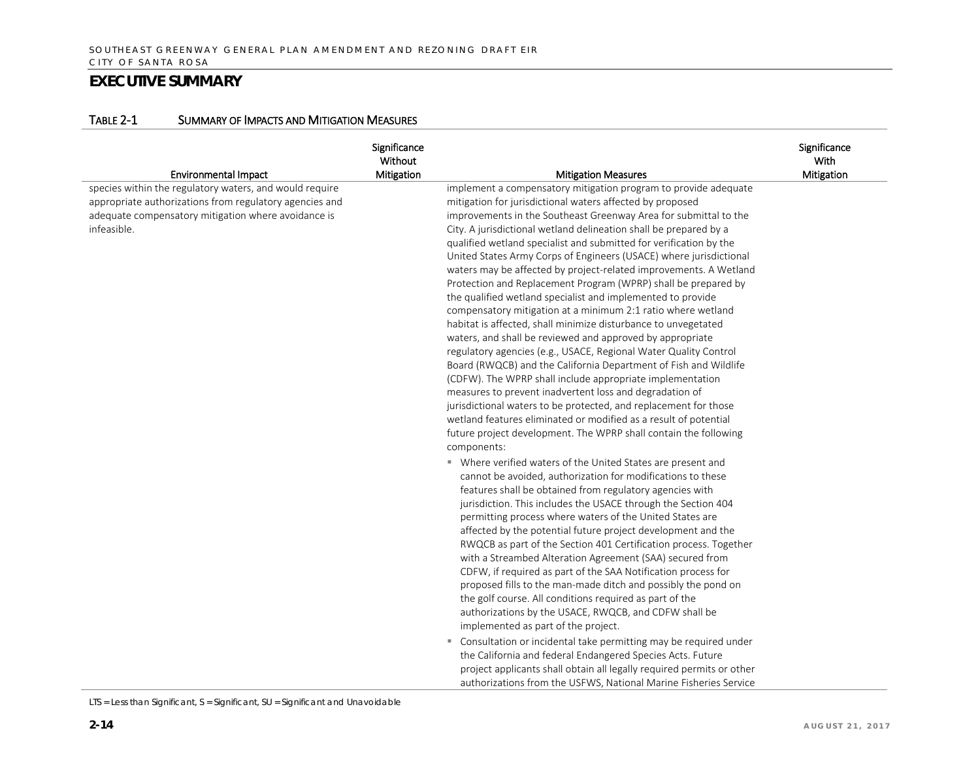#### TABLE 2-1 SUMMARY OF IMPACTS AND MITIGATION MEASURES

|                                                                                                                                                                                                                         | Significance<br>Without<br>Mitigation | <b>Mitigation Measures</b>                                                                                                                                                                                                                                                                                                                                                                                                                                                                                                                                                                                                                                                                                                                                                                                                                                                                                                                                                                                                                                                                                                                                                                                                                                                                                        | Significance<br>With<br>Mitigation |
|-------------------------------------------------------------------------------------------------------------------------------------------------------------------------------------------------------------------------|---------------------------------------|-------------------------------------------------------------------------------------------------------------------------------------------------------------------------------------------------------------------------------------------------------------------------------------------------------------------------------------------------------------------------------------------------------------------------------------------------------------------------------------------------------------------------------------------------------------------------------------------------------------------------------------------------------------------------------------------------------------------------------------------------------------------------------------------------------------------------------------------------------------------------------------------------------------------------------------------------------------------------------------------------------------------------------------------------------------------------------------------------------------------------------------------------------------------------------------------------------------------------------------------------------------------------------------------------------------------|------------------------------------|
| <b>Environmental Impact</b><br>species within the regulatory waters, and would require<br>appropriate authorizations from regulatory agencies and<br>adequate compensatory mitigation where avoidance is<br>infeasible. |                                       | implement a compensatory mitigation program to provide adequate<br>mitigation for jurisdictional waters affected by proposed<br>improvements in the Southeast Greenway Area for submittal to the<br>City. A jurisdictional wetland delineation shall be prepared by a<br>qualified wetland specialist and submitted for verification by the<br>United States Army Corps of Engineers (USACE) where jurisdictional<br>waters may be affected by project-related improvements. A Wetland<br>Protection and Replacement Program (WPRP) shall be prepared by<br>the qualified wetland specialist and implemented to provide<br>compensatory mitigation at a minimum 2:1 ratio where wetland<br>habitat is affected, shall minimize disturbance to unvegetated<br>waters, and shall be reviewed and approved by appropriate<br>regulatory agencies (e.g., USACE, Regional Water Quality Control<br>Board (RWQCB) and the California Department of Fish and Wildlife<br>(CDFW). The WPRP shall include appropriate implementation<br>measures to prevent inadvertent loss and degradation of<br>jurisdictional waters to be protected, and replacement for those<br>wetland features eliminated or modified as a result of potential<br>future project development. The WPRP shall contain the following<br>components: |                                    |
|                                                                                                                                                                                                                         |                                       | • Where verified waters of the United States are present and<br>cannot be avoided, authorization for modifications to these<br>features shall be obtained from regulatory agencies with<br>jurisdiction. This includes the USACE through the Section 404<br>permitting process where waters of the United States are<br>affected by the potential future project development and the<br>RWQCB as part of the Section 401 Certification process. Together<br>with a Streambed Alteration Agreement (SAA) secured from<br>CDFW, if required as part of the SAA Notification process for<br>proposed fills to the man-made ditch and possibly the pond on<br>the golf course. All conditions required as part of the<br>authorizations by the USACE, RWQCB, and CDFW shall be<br>implemented as part of the project.<br>" Consultation or incidental take permitting may be required under<br>the California and federal Endangered Species Acts. Future<br>project applicants shall obtain all legally required permits or other<br>authorizations from the USFWS, National Marine Fisheries Service                                                                                                                                                                                                                |                                    |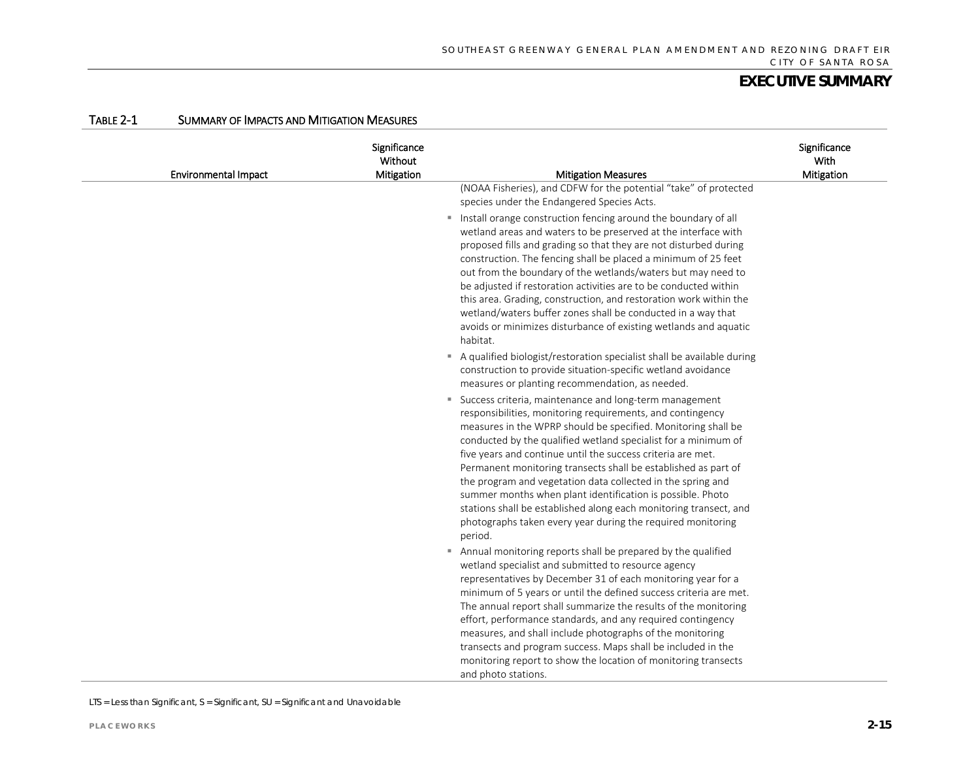| <b>Environmental Impact</b> | Significance<br>Without<br>Mitigation | <b>Mitigation Measures</b>                                                                                                                                                                                                                                                                                                                                                                                                                                                                                                                                                                                                                                                                                                                                                                                                                               | Significance<br>With<br>Mitigation |
|-----------------------------|---------------------------------------|----------------------------------------------------------------------------------------------------------------------------------------------------------------------------------------------------------------------------------------------------------------------------------------------------------------------------------------------------------------------------------------------------------------------------------------------------------------------------------------------------------------------------------------------------------------------------------------------------------------------------------------------------------------------------------------------------------------------------------------------------------------------------------------------------------------------------------------------------------|------------------------------------|
|                             |                                       | (NOAA Fisheries), and CDFW for the potential "take" of protected<br>species under the Endangered Species Acts.<br>" Install orange construction fencing around the boundary of all<br>wetland areas and waters to be preserved at the interface with<br>proposed fills and grading so that they are not disturbed during<br>construction. The fencing shall be placed a minimum of 25 feet<br>out from the boundary of the wetlands/waters but may need to<br>be adjusted if restoration activities are to be conducted within<br>this area. Grading, construction, and restoration work within the<br>wetland/waters buffer zones shall be conducted in a way that<br>avoids or minimizes disturbance of existing wetlands and aquatic<br>habitat.                                                                                                      |                                    |
|                             |                                       | A qualified biologist/restoration specialist shall be available during<br>construction to provide situation-specific wetland avoidance<br>measures or planting recommendation, as needed.<br>" Success criteria, maintenance and long-term management<br>responsibilities, monitoring requirements, and contingency<br>measures in the WPRP should be specified. Monitoring shall be<br>conducted by the qualified wetland specialist for a minimum of<br>five years and continue until the success criteria are met.<br>Permanent monitoring transects shall be established as part of<br>the program and vegetation data collected in the spring and<br>summer months when plant identification is possible. Photo<br>stations shall be established along each monitoring transect, and<br>photographs taken every year during the required monitoring |                                    |
|                             |                                       | period.<br>Annual monitoring reports shall be prepared by the qualified<br>wetland specialist and submitted to resource agency<br>representatives by December 31 of each monitoring year for a<br>minimum of 5 years or until the defined success criteria are met.<br>The annual report shall summarize the results of the monitoring<br>effort, performance standards, and any required contingency<br>measures, and shall include photographs of the monitoring<br>transects and program success. Maps shall be included in the<br>monitoring report to show the location of monitoring transects<br>and photo stations.                                                                                                                                                                                                                              |                                    |

#### TABLE 2-1 SUMMARY OF IMPACTS AND MITIGATION MEASURES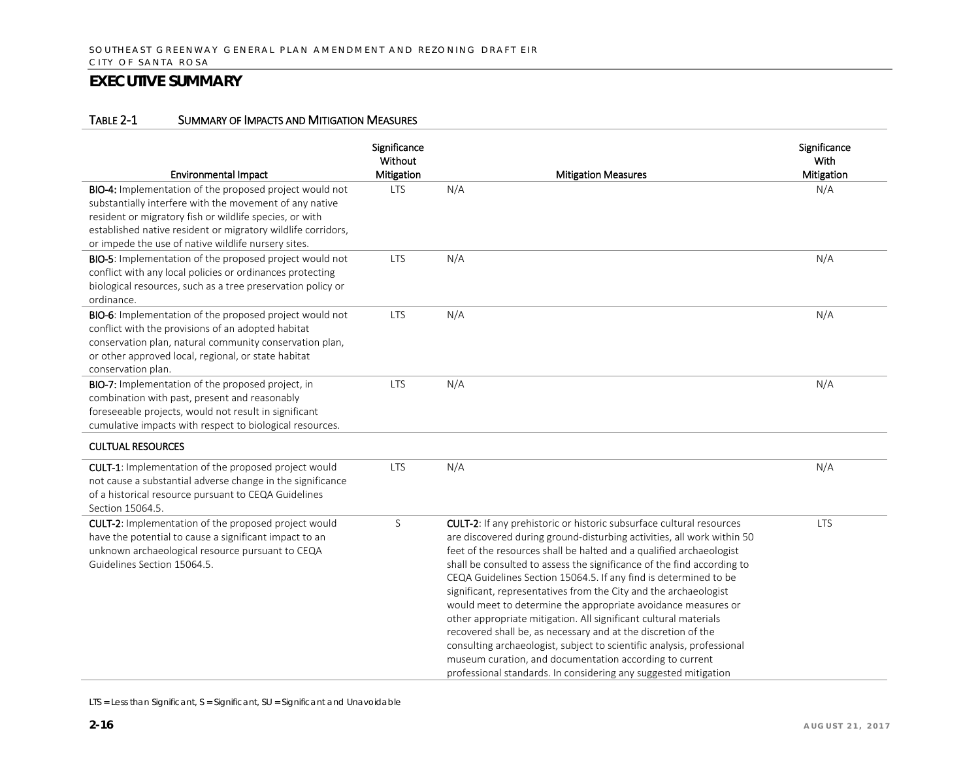#### TABLE 2-1 SUMMARY OF IMPACTS AND MITIGATION MEASURES

| <b>Environmental Impact</b>                                                                                                                                                                                                                                                                          | Significance<br>Without<br>Mitigation | <b>Mitigation Measures</b>                                                                                                                                                                                                                                                                                                                                                                                                                                                                                                                                                                                                                                                                                                                                                                                                                            | Significance<br><b>With</b><br>Mitigation |
|------------------------------------------------------------------------------------------------------------------------------------------------------------------------------------------------------------------------------------------------------------------------------------------------------|---------------------------------------|-------------------------------------------------------------------------------------------------------------------------------------------------------------------------------------------------------------------------------------------------------------------------------------------------------------------------------------------------------------------------------------------------------------------------------------------------------------------------------------------------------------------------------------------------------------------------------------------------------------------------------------------------------------------------------------------------------------------------------------------------------------------------------------------------------------------------------------------------------|-------------------------------------------|
| BIO-4: Implementation of the proposed project would not<br>substantially interfere with the movement of any native<br>resident or migratory fish or wildlife species, or with<br>established native resident or migratory wildlife corridors,<br>or impede the use of native wildlife nursery sites. | <b>LTS</b>                            | N/A                                                                                                                                                                                                                                                                                                                                                                                                                                                                                                                                                                                                                                                                                                                                                                                                                                                   | N/A                                       |
| BIO-5: Implementation of the proposed project would not<br>conflict with any local policies or ordinances protecting<br>biological resources, such as a tree preservation policy or<br>ordinance.                                                                                                    | <b>LTS</b>                            | N/A                                                                                                                                                                                                                                                                                                                                                                                                                                                                                                                                                                                                                                                                                                                                                                                                                                                   | N/A                                       |
| BIO-6: Implementation of the proposed project would not<br>conflict with the provisions of an adopted habitat<br>conservation plan, natural community conservation plan,<br>or other approved local, regional, or state habitat<br>conservation plan.                                                | <b>LTS</b>                            | N/A                                                                                                                                                                                                                                                                                                                                                                                                                                                                                                                                                                                                                                                                                                                                                                                                                                                   | N/A                                       |
| BIO-7: Implementation of the proposed project, in<br>combination with past, present and reasonably<br>foreseeable projects, would not result in significant<br>cumulative impacts with respect to biological resources.                                                                              | <b>LTS</b>                            | N/A                                                                                                                                                                                                                                                                                                                                                                                                                                                                                                                                                                                                                                                                                                                                                                                                                                                   | N/A                                       |
| <b>CULTUAL RESOURCES</b>                                                                                                                                                                                                                                                                             |                                       |                                                                                                                                                                                                                                                                                                                                                                                                                                                                                                                                                                                                                                                                                                                                                                                                                                                       |                                           |
| CULT-1: Implementation of the proposed project would<br>not cause a substantial adverse change in the significance<br>of a historical resource pursuant to CEQA Guidelines<br>Section 15064.5.                                                                                                       | <b>LTS</b>                            | N/A                                                                                                                                                                                                                                                                                                                                                                                                                                                                                                                                                                                                                                                                                                                                                                                                                                                   | N/A                                       |
| CULT-2: Implementation of the proposed project would<br>have the potential to cause a significant impact to an<br>unknown archaeological resource pursuant to CEQA<br>Guidelines Section 15064.5.                                                                                                    | $\mathsf S$                           | CULT-2: If any prehistoric or historic subsurface cultural resources<br>are discovered during ground-disturbing activities, all work within 50<br>feet of the resources shall be halted and a qualified archaeologist<br>shall be consulted to assess the significance of the find according to<br>CEQA Guidelines Section 15064.5. If any find is determined to be<br>significant, representatives from the City and the archaeologist<br>would meet to determine the appropriate avoidance measures or<br>other appropriate mitigation. All significant cultural materials<br>recovered shall be, as necessary and at the discretion of the<br>consulting archaeologist, subject to scientific analysis, professional<br>museum curation, and documentation according to current<br>professional standards. In considering any suggested mitigation | <b>LTS</b>                                |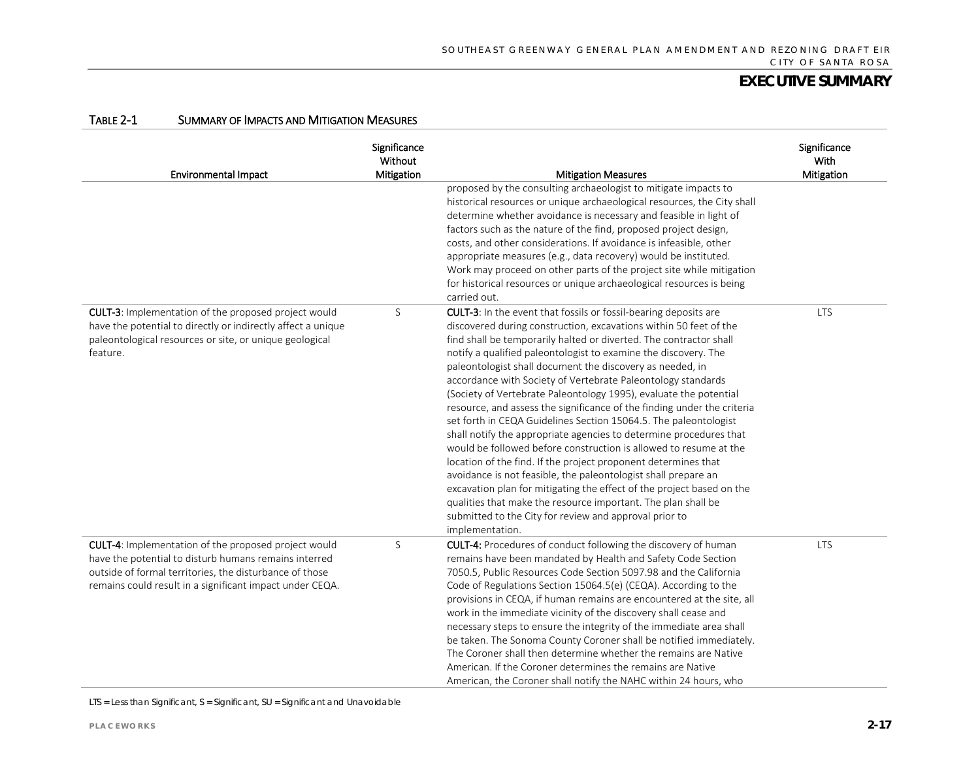| <b>Environmental Impact</b>                                                                                                                                                                                                          | Significance<br>Without<br>Mitigation | <b>Mitigation Measures</b>                                                                                                                                                                                                                                                                                                                                                                                                                                                                                                                                                                                                                                                                                                                                                                                                                                                                                                                                                                                                                                                                                                            | Significance<br>With<br>Mitigation |
|--------------------------------------------------------------------------------------------------------------------------------------------------------------------------------------------------------------------------------------|---------------------------------------|---------------------------------------------------------------------------------------------------------------------------------------------------------------------------------------------------------------------------------------------------------------------------------------------------------------------------------------------------------------------------------------------------------------------------------------------------------------------------------------------------------------------------------------------------------------------------------------------------------------------------------------------------------------------------------------------------------------------------------------------------------------------------------------------------------------------------------------------------------------------------------------------------------------------------------------------------------------------------------------------------------------------------------------------------------------------------------------------------------------------------------------|------------------------------------|
|                                                                                                                                                                                                                                      |                                       | proposed by the consulting archaeologist to mitigate impacts to<br>historical resources or unique archaeological resources, the City shall<br>determine whether avoidance is necessary and feasible in light of<br>factors such as the nature of the find, proposed project design,<br>costs, and other considerations. If avoidance is infeasible, other<br>appropriate measures (e.g., data recovery) would be instituted.<br>Work may proceed on other parts of the project site while mitigation<br>for historical resources or unique archaeological resources is being<br>carried out.                                                                                                                                                                                                                                                                                                                                                                                                                                                                                                                                          |                                    |
| <b>CULT-3:</b> Implementation of the proposed project would<br>have the potential to directly or indirectly affect a unique<br>paleontological resources or site, or unique geological<br>feature.                                   | S                                     | CULT-3: In the event that fossils or fossil-bearing deposits are<br>discovered during construction, excavations within 50 feet of the<br>find shall be temporarily halted or diverted. The contractor shall<br>notify a qualified paleontologist to examine the discovery. The<br>paleontologist shall document the discovery as needed, in<br>accordance with Society of Vertebrate Paleontology standards<br>(Society of Vertebrate Paleontology 1995), evaluate the potential<br>resource, and assess the significance of the finding under the criteria<br>set forth in CEQA Guidelines Section 15064.5. The paleontologist<br>shall notify the appropriate agencies to determine procedures that<br>would be followed before construction is allowed to resume at the<br>location of the find. If the project proponent determines that<br>avoidance is not feasible, the paleontologist shall prepare an<br>excavation plan for mitigating the effect of the project based on the<br>qualities that make the resource important. The plan shall be<br>submitted to the City for review and approval prior to<br>implementation. | <b>LTS</b>                         |
| CULT-4: Implementation of the proposed project would<br>have the potential to disturb humans remains interred<br>outside of formal territories, the disturbance of those<br>remains could result in a significant impact under CEQA. | $\mathsf S$                           | <b>CULT-4:</b> Procedures of conduct following the discovery of human<br>remains have been mandated by Health and Safety Code Section<br>7050.5, Public Resources Code Section 5097.98 and the California<br>Code of Regulations Section 15064.5(e) (CEQA). According to the<br>provisions in CEQA, if human remains are encountered at the site, all<br>work in the immediate vicinity of the discovery shall cease and<br>necessary steps to ensure the integrity of the immediate area shall<br>be taken. The Sonoma County Coroner shall be notified immediately.<br>The Coroner shall then determine whether the remains are Native<br>American. If the Coroner determines the remains are Native<br>American, the Coroner shall notify the NAHC within 24 hours, who                                                                                                                                                                                                                                                                                                                                                            | <b>LTS</b>                         |

#### TABLE 2-1 SUMMARY OF IMPACTS AND MITIGATION MEASURES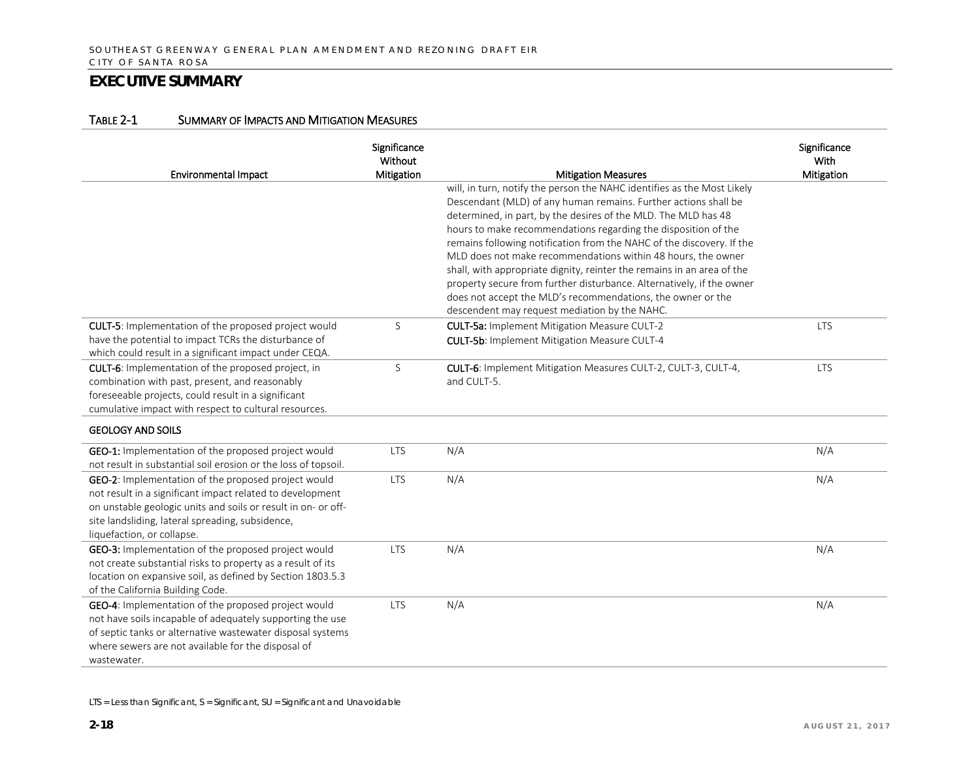|  | TABLE 2-1 | <b>SUMMARY OF IMPACTS AND MITIGATION MEASURES</b> |
|--|-----------|---------------------------------------------------|
|--|-----------|---------------------------------------------------|

|                                                                                                                       | Significance<br>Without |                                                                                                                                  | Significance<br>With |
|-----------------------------------------------------------------------------------------------------------------------|-------------------------|----------------------------------------------------------------------------------------------------------------------------------|----------------------|
| <b>Environmental Impact</b>                                                                                           | Mitigation              | <b>Mitigation Measures</b>                                                                                                       | Mitigation           |
|                                                                                                                       |                         | will, in turn, notify the person the NAHC identifies as the Most Likely                                                          |                      |
|                                                                                                                       |                         | Descendant (MLD) of any human remains. Further actions shall be                                                                  |                      |
|                                                                                                                       |                         | determined, in part, by the desires of the MLD. The MLD has 48<br>hours to make recommendations regarding the disposition of the |                      |
|                                                                                                                       |                         | remains following notification from the NAHC of the discovery. If the                                                            |                      |
|                                                                                                                       |                         | MLD does not make recommendations within 48 hours, the owner                                                                     |                      |
|                                                                                                                       |                         | shall, with appropriate dignity, reinter the remains in an area of the                                                           |                      |
|                                                                                                                       |                         | property secure from further disturbance. Alternatively, if the owner                                                            |                      |
|                                                                                                                       |                         | does not accept the MLD's recommendations, the owner or the                                                                      |                      |
|                                                                                                                       |                         | descendent may request mediation by the NAHC.                                                                                    |                      |
| CULT-5: Implementation of the proposed project would                                                                  | S                       | <b>CULT-5a: Implement Mitigation Measure CULT-2</b>                                                                              | <b>LTS</b>           |
| have the potential to impact TCRs the disturbance of                                                                  |                         | <b>CULT-5b: Implement Mitigation Measure CULT-4</b>                                                                              |                      |
| which could result in a significant impact under CEQA.                                                                |                         |                                                                                                                                  |                      |
| CULT-6: Implementation of the proposed project, in                                                                    | S                       | CULT-6: Implement Mitigation Measures CULT-2, CULT-3, CULT-4,                                                                    | <b>LTS</b>           |
| combination with past, present, and reasonably                                                                        |                         | and CULT-5.                                                                                                                      |                      |
| foreseeable projects, could result in a significant                                                                   |                         |                                                                                                                                  |                      |
| cumulative impact with respect to cultural resources.                                                                 |                         |                                                                                                                                  |                      |
| <b>GEOLOGY AND SOILS</b>                                                                                              |                         |                                                                                                                                  |                      |
| GEO-1: Implementation of the proposed project would<br>not result in substantial soil erosion or the loss of topsoil. | <b>LTS</b>              | N/A                                                                                                                              | N/A                  |
|                                                                                                                       | <b>LTS</b>              | N/A                                                                                                                              |                      |
| GEO-2: Implementation of the proposed project would<br>not result in a significant impact related to development      |                         |                                                                                                                                  | N/A                  |
| on unstable geologic units and soils or result in on- or off-                                                         |                         |                                                                                                                                  |                      |
| site landsliding, lateral spreading, subsidence,                                                                      |                         |                                                                                                                                  |                      |
| liquefaction, or collapse.                                                                                            |                         |                                                                                                                                  |                      |
| GEO-3: Implementation of the proposed project would                                                                   | <b>LTS</b>              | N/A                                                                                                                              | N/A                  |
| not create substantial risks to property as a result of its                                                           |                         |                                                                                                                                  |                      |
| location on expansive soil, as defined by Section 1803.5.3                                                            |                         |                                                                                                                                  |                      |
| of the California Building Code.                                                                                      |                         |                                                                                                                                  |                      |
| GEO-4: Implementation of the proposed project would                                                                   | <b>LTS</b>              | N/A                                                                                                                              | N/A                  |
| not have soils incapable of adequately supporting the use                                                             |                         |                                                                                                                                  |                      |
| of septic tanks or alternative wastewater disposal systems                                                            |                         |                                                                                                                                  |                      |
| where sewers are not available for the disposal of                                                                    |                         |                                                                                                                                  |                      |
| wastewater.                                                                                                           |                         |                                                                                                                                  |                      |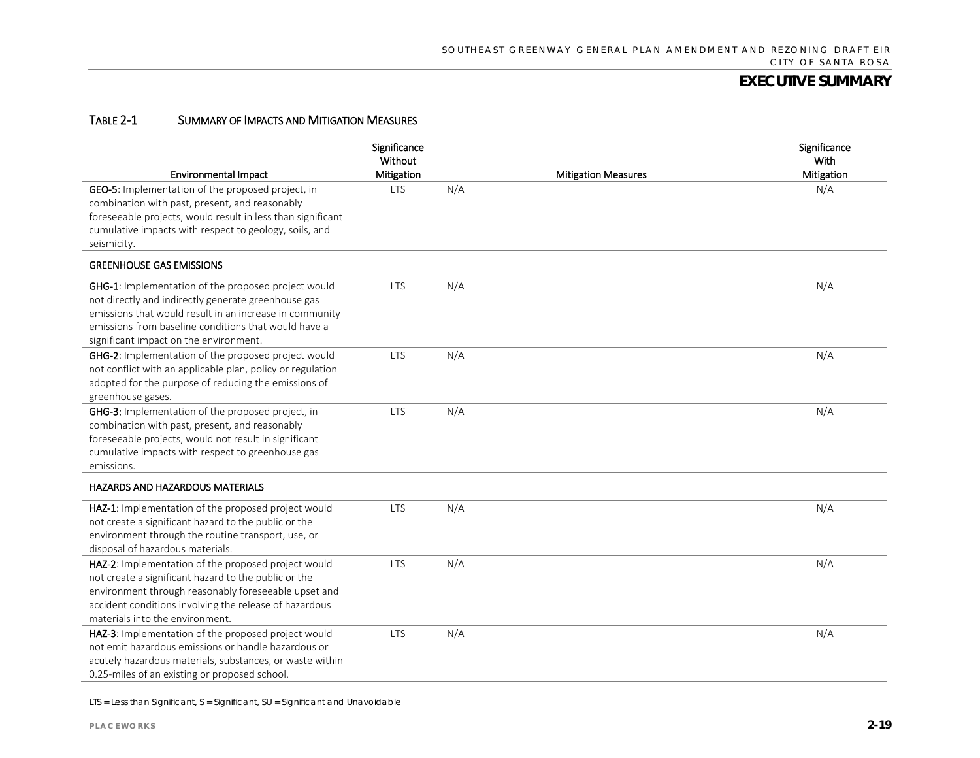#### TABLE 2-1 SUMMARY OF IMPACTS AND MITIGATION MEASURES

| <b>Environmental Impact</b>                                                                                                                                                                                                                                             | Significance<br>Without<br>Mitigation |     | <b>Mitigation Measures</b> | Significance<br>With<br>Mitigation |
|-------------------------------------------------------------------------------------------------------------------------------------------------------------------------------------------------------------------------------------------------------------------------|---------------------------------------|-----|----------------------------|------------------------------------|
| GEO-5: Implementation of the proposed project, in<br>combination with past, present, and reasonably<br>foreseeable projects, would result in less than significant<br>cumulative impacts with respect to geology, soils, and<br>seismicity.                             | LTS                                   | N/A |                            | N/A                                |
| <b>GREENHOUSE GAS EMISSIONS</b>                                                                                                                                                                                                                                         |                                       |     |                            |                                    |
| GHG-1: Implementation of the proposed project would<br>not directly and indirectly generate greenhouse gas<br>emissions that would result in an increase in community<br>emissions from baseline conditions that would have a<br>significant impact on the environment. | <b>LTS</b>                            | N/A |                            | N/A                                |
| GHG-2: Implementation of the proposed project would<br>not conflict with an applicable plan, policy or regulation<br>adopted for the purpose of reducing the emissions of<br>greenhouse gases.                                                                          | <b>LTS</b>                            | N/A |                            | N/A                                |
| GHG-3: Implementation of the proposed project, in<br>combination with past, present, and reasonably<br>foreseeable projects, would not result in significant<br>cumulative impacts with respect to greenhouse gas<br>emissions.                                         | <b>LTS</b>                            | N/A |                            | N/A                                |
| <b>HAZARDS AND HAZARDOUS MATERIALS</b>                                                                                                                                                                                                                                  |                                       |     |                            |                                    |
| HAZ-1: Implementation of the proposed project would<br>not create a significant hazard to the public or the<br>environment through the routine transport, use, or<br>disposal of hazardous materials.                                                                   | <b>LTS</b>                            | N/A |                            | N/A                                |
| HAZ-2: Implementation of the proposed project would<br>not create a significant hazard to the public or the<br>environment through reasonably foreseeable upset and<br>accident conditions involving the release of hazardous<br>materials into the environment.        | <b>LTS</b>                            | N/A |                            | N/A                                |
| HAZ-3: Implementation of the proposed project would<br>not emit hazardous emissions or handle hazardous or<br>acutely hazardous materials, substances, or waste within<br>0.25-miles of an existing or proposed school.                                                 | <b>LTS</b>                            | N/A |                            | N/A                                |

LTS = Less than Significant, S = Significant, SU = Significant and Unavoidable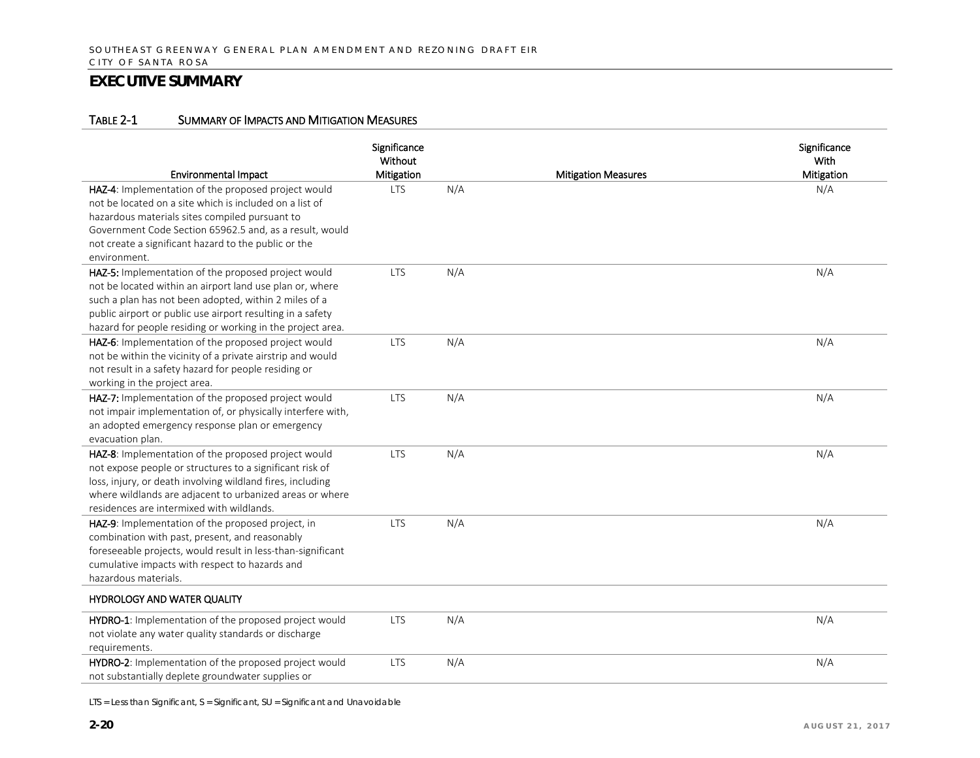#### TABLE 2-1 SUMMARY OF IMPACTS AND MITIGATION MEASURES

| <b>Environmental Impact</b>                                                                                                                                                                                                                                                                          | Significance<br>Without<br>Mitigation |     | <b>Mitigation Measures</b> | Significance<br>With<br>Mitigation |
|------------------------------------------------------------------------------------------------------------------------------------------------------------------------------------------------------------------------------------------------------------------------------------------------------|---------------------------------------|-----|----------------------------|------------------------------------|
| HAZ-4: Implementation of the proposed project would<br>not be located on a site which is included on a list of<br>hazardous materials sites compiled pursuant to<br>Government Code Section 65962.5 and, as a result, would<br>not create a significant hazard to the public or the<br>environment.  | <b>LTS</b>                            | N/A |                            | N/A                                |
| HAZ-5: Implementation of the proposed project would<br>not be located within an airport land use plan or, where<br>such a plan has not been adopted, within 2 miles of a<br>public airport or public use airport resulting in a safety<br>hazard for people residing or working in the project area. | <b>LTS</b>                            | N/A |                            | N/A                                |
| HAZ-6: Implementation of the proposed project would<br>not be within the vicinity of a private airstrip and would<br>not result in a safety hazard for people residing or<br>working in the project area.                                                                                            | <b>LTS</b>                            | N/A |                            | N/A                                |
| HAZ-7: Implementation of the proposed project would<br>not impair implementation of, or physically interfere with,<br>an adopted emergency response plan or emergency<br>evacuation plan.                                                                                                            | <b>LTS</b>                            | N/A |                            | N/A                                |
| HAZ-8: Implementation of the proposed project would<br>not expose people or structures to a significant risk of<br>loss, injury, or death involving wildland fires, including<br>where wildlands are adjacent to urbanized areas or where<br>residences are intermixed with wildlands.               | <b>LTS</b>                            | N/A |                            | N/A                                |
| HAZ-9: Implementation of the proposed project, in<br>combination with past, present, and reasonably<br>foreseeable projects, would result in less-than-significant<br>cumulative impacts with respect to hazards and<br>hazardous materials.                                                         | <b>LTS</b>                            | N/A |                            | N/A                                |
| HYDROLOGY AND WATER QUALITY                                                                                                                                                                                                                                                                          |                                       |     |                            |                                    |
| HYDRO-1: Implementation of the proposed project would<br>not violate any water quality standards or discharge<br>requirements.                                                                                                                                                                       | <b>LTS</b>                            | N/A |                            | N/A                                |
| HYDRO-2: Implementation of the proposed project would<br>not substantially deplete groundwater supplies or                                                                                                                                                                                           | <b>LTS</b>                            | N/A |                            | N/A                                |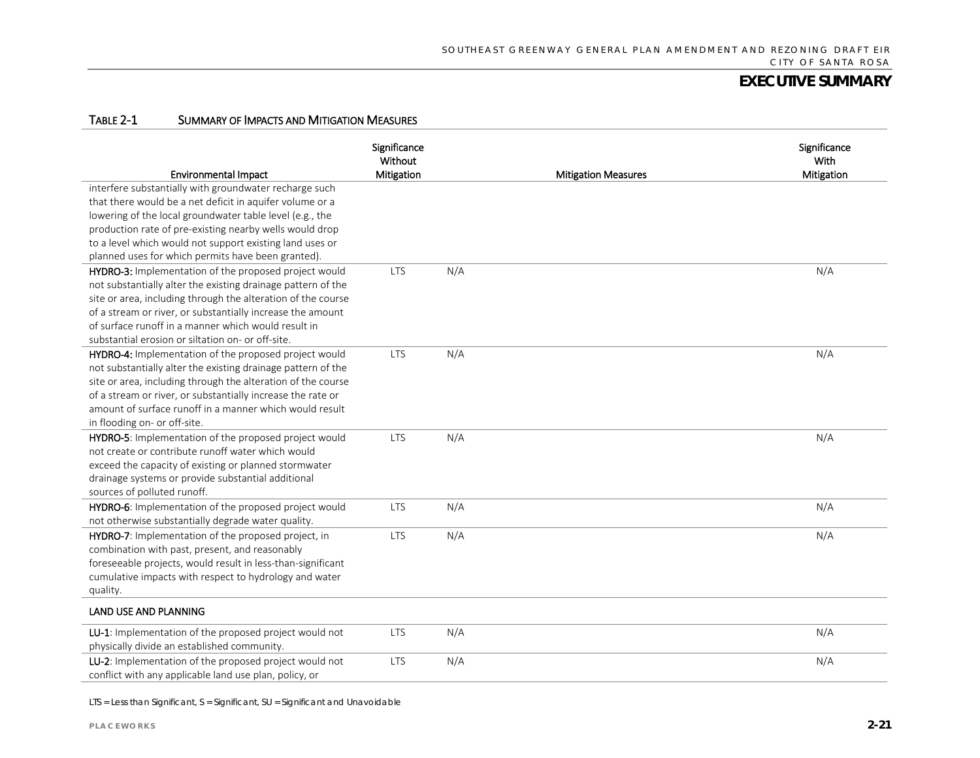#### TABLE 2-1 SUMMARY OF IMPACTS AND MITIGATION MEASURES

| <b>Environmental Impact</b>                                  | Significance<br>Without<br>Mitigation |     | <b>Mitigation Measures</b> | Significance<br>With<br><b>Mitigation</b> |
|--------------------------------------------------------------|---------------------------------------|-----|----------------------------|-------------------------------------------|
| interfere substantially with groundwater recharge such       |                                       |     |                            |                                           |
| that there would be a net deficit in aquifer volume or a     |                                       |     |                            |                                           |
| lowering of the local groundwater table level (e.g., the     |                                       |     |                            |                                           |
| production rate of pre-existing nearby wells would drop      |                                       |     |                            |                                           |
| to a level which would not support existing land uses or     |                                       |     |                            |                                           |
| planned uses for which permits have been granted).           |                                       |     |                            |                                           |
| HYDRO-3: Implementation of the proposed project would        | <b>LTS</b>                            | N/A |                            | N/A                                       |
| not substantially alter the existing drainage pattern of the |                                       |     |                            |                                           |
| site or area, including through the alteration of the course |                                       |     |                            |                                           |
| of a stream or river, or substantially increase the amount   |                                       |     |                            |                                           |
| of surface runoff in a manner which would result in          |                                       |     |                            |                                           |
| substantial erosion or siltation on- or off-site.            |                                       |     |                            |                                           |
| HYDRO-4: Implementation of the proposed project would        | <b>LTS</b>                            | N/A |                            | N/A                                       |
| not substantially alter the existing drainage pattern of the |                                       |     |                            |                                           |
| site or area, including through the alteration of the course |                                       |     |                            |                                           |
| of a stream or river, or substantially increase the rate or  |                                       |     |                            |                                           |
| amount of surface runoff in a manner which would result      |                                       |     |                            |                                           |
| in flooding on- or off-site.                                 |                                       |     |                            |                                           |
| HYDRO-5: Implementation of the proposed project would        | <b>LTS</b>                            | N/A |                            | N/A                                       |
| not create or contribute runoff water which would            |                                       |     |                            |                                           |
| exceed the capacity of existing or planned stormwater        |                                       |     |                            |                                           |
| drainage systems or provide substantial additional           |                                       |     |                            |                                           |
| sources of polluted runoff.                                  |                                       |     |                            |                                           |
| HYDRO-6: Implementation of the proposed project would        | <b>LTS</b>                            | N/A |                            | N/A                                       |
| not otherwise substantially degrade water quality.           |                                       |     |                            |                                           |
| HYDRO-7: Implementation of the proposed project, in          | <b>LTS</b>                            | N/A |                            | N/A                                       |
| combination with past, present, and reasonably               |                                       |     |                            |                                           |
| foreseeable projects, would result in less-than-significant  |                                       |     |                            |                                           |
| cumulative impacts with respect to hydrology and water       |                                       |     |                            |                                           |
| quality.                                                     |                                       |     |                            |                                           |
| <b>LAND USE AND PLANNING</b>                                 |                                       |     |                            |                                           |
| LU-1: Implementation of the proposed project would not       | <b>LTS</b>                            | N/A |                            | N/A                                       |
| physically divide an established community.                  |                                       |     |                            |                                           |
| LU-2: Implementation of the proposed project would not       | <b>LTS</b>                            | N/A |                            | N/A                                       |
| conflict with any applicable land use plan, policy, or       |                                       |     |                            |                                           |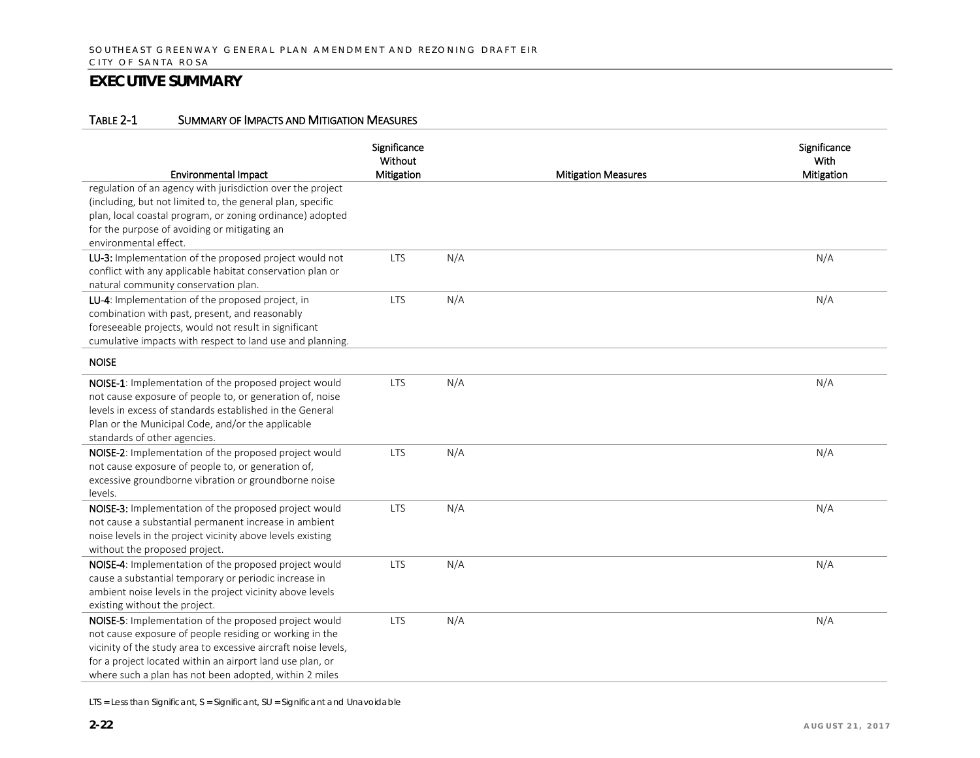#### TABLE 2-1 SUMMARY OF IMPACTS AND MITIGATION MEASURES

| <b>Environmental Impact</b>                                                                                                                                                                                                                                                                               | Significance<br>Without<br>Mitigation |     | <b>Mitigation Measures</b> | Significance<br>With<br>Mitigation |
|-----------------------------------------------------------------------------------------------------------------------------------------------------------------------------------------------------------------------------------------------------------------------------------------------------------|---------------------------------------|-----|----------------------------|------------------------------------|
| regulation of an agency with jurisdiction over the project<br>(including, but not limited to, the general plan, specific<br>plan, local coastal program, or zoning ordinance) adopted<br>for the purpose of avoiding or mitigating an<br>environmental effect.                                            |                                       |     |                            |                                    |
| LU-3: Implementation of the proposed project would not<br>conflict with any applicable habitat conservation plan or<br>natural community conservation plan.                                                                                                                                               | <b>LTS</b>                            | N/A |                            | N/A                                |
| LU-4: Implementation of the proposed project, in<br>combination with past, present, and reasonably<br>foreseeable projects, would not result in significant<br>cumulative impacts with respect to land use and planning.                                                                                  | <b>LTS</b>                            | N/A |                            | N/A                                |
| <b>NOISE</b>                                                                                                                                                                                                                                                                                              |                                       |     |                            |                                    |
| NOISE-1: Implementation of the proposed project would<br>not cause exposure of people to, or generation of, noise<br>levels in excess of standards established in the General<br>Plan or the Municipal Code, and/or the applicable<br>standards of other agencies.                                        | <b>LTS</b>                            | N/A |                            | N/A                                |
| NOISE-2: Implementation of the proposed project would<br>not cause exposure of people to, or generation of,<br>excessive groundborne vibration or groundborne noise<br>levels.                                                                                                                            | <b>LTS</b>                            | N/A |                            | N/A                                |
| NOISE-3: Implementation of the proposed project would<br>not cause a substantial permanent increase in ambient<br>noise levels in the project vicinity above levels existing<br>without the proposed project.                                                                                             | <b>LTS</b>                            | N/A |                            | N/A                                |
| NOISE-4: Implementation of the proposed project would<br>cause a substantial temporary or periodic increase in<br>ambient noise levels in the project vicinity above levels<br>existing without the project.                                                                                              | <b>LTS</b>                            | N/A |                            | N/A                                |
| NOISE-5: Implementation of the proposed project would<br>not cause exposure of people residing or working in the<br>vicinity of the study area to excessive aircraft noise levels,<br>for a project located within an airport land use plan, or<br>where such a plan has not been adopted, within 2 miles | <b>LTS</b>                            | N/A |                            | N/A                                |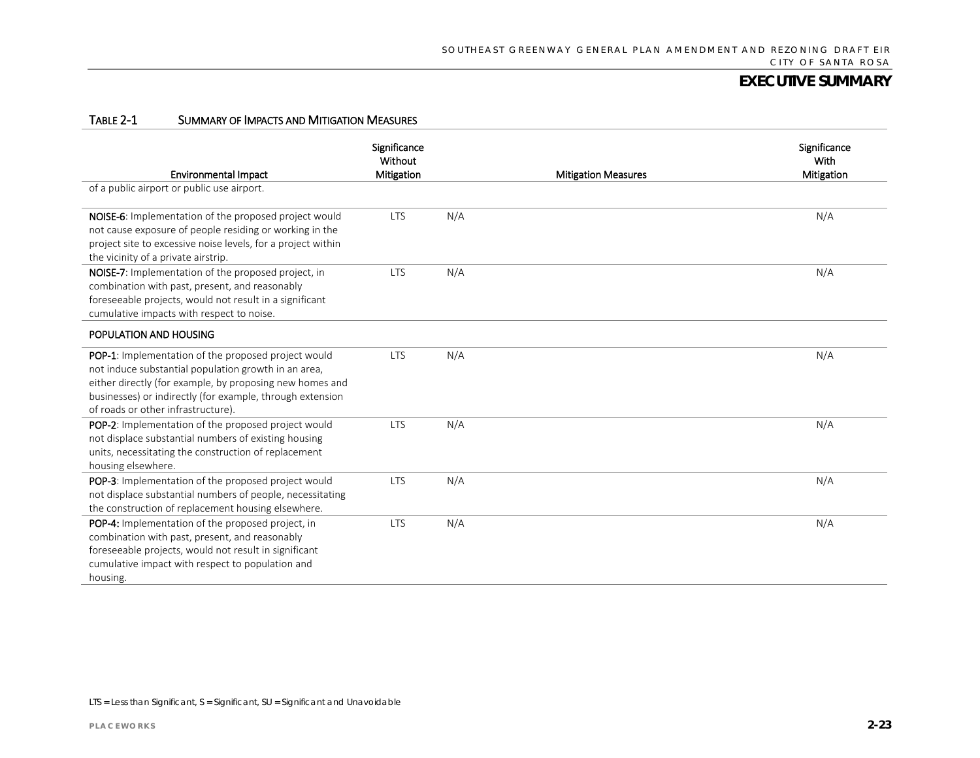#### TABLE 2-1 SUMMARY OF IMPACTS AND MITIGATION MEASURES

| <b>Environmental Impact</b>                                                                                                                                                                                                                                                       | Significance<br>Without<br>Mitigation |     | <b>Mitigation Measures</b> | Significance<br>With<br>Mitigation |
|-----------------------------------------------------------------------------------------------------------------------------------------------------------------------------------------------------------------------------------------------------------------------------------|---------------------------------------|-----|----------------------------|------------------------------------|
| of a public airport or public use airport.                                                                                                                                                                                                                                        |                                       |     |                            |                                    |
| NOISE-6: Implementation of the proposed project would<br>not cause exposure of people residing or working in the<br>project site to excessive noise levels, for a project within<br>the vicinity of a private airstrip.                                                           | <b>LTS</b>                            | N/A |                            | N/A                                |
| NOISE-7: Implementation of the proposed project, in<br>combination with past, present, and reasonably<br>foreseeable projects, would not result in a significant<br>cumulative impacts with respect to noise.                                                                     | <b>LTS</b>                            | N/A |                            | N/A                                |
| POPULATION AND HOUSING                                                                                                                                                                                                                                                            |                                       |     |                            |                                    |
| <b>POP-1:</b> Implementation of the proposed project would<br>not induce substantial population growth in an area,<br>either directly (for example, by proposing new homes and<br>businesses) or indirectly (for example, through extension<br>of roads or other infrastructure). | <b>LTS</b>                            | N/A |                            | N/A                                |
| POP-2: Implementation of the proposed project would<br>not displace substantial numbers of existing housing<br>units, necessitating the construction of replacement<br>housing elsewhere.                                                                                         | <b>LTS</b>                            | N/A |                            | N/A                                |
| POP-3: Implementation of the proposed project would<br>not displace substantial numbers of people, necessitating<br>the construction of replacement housing elsewhere.                                                                                                            | <b>LTS</b>                            | N/A |                            | N/A                                |
| POP-4: Implementation of the proposed project, in<br>combination with past, present, and reasonably<br>foreseeable projects, would not result in significant<br>cumulative impact with respect to population and<br>housing.                                                      | <b>LTS</b>                            | N/A |                            | N/A                                |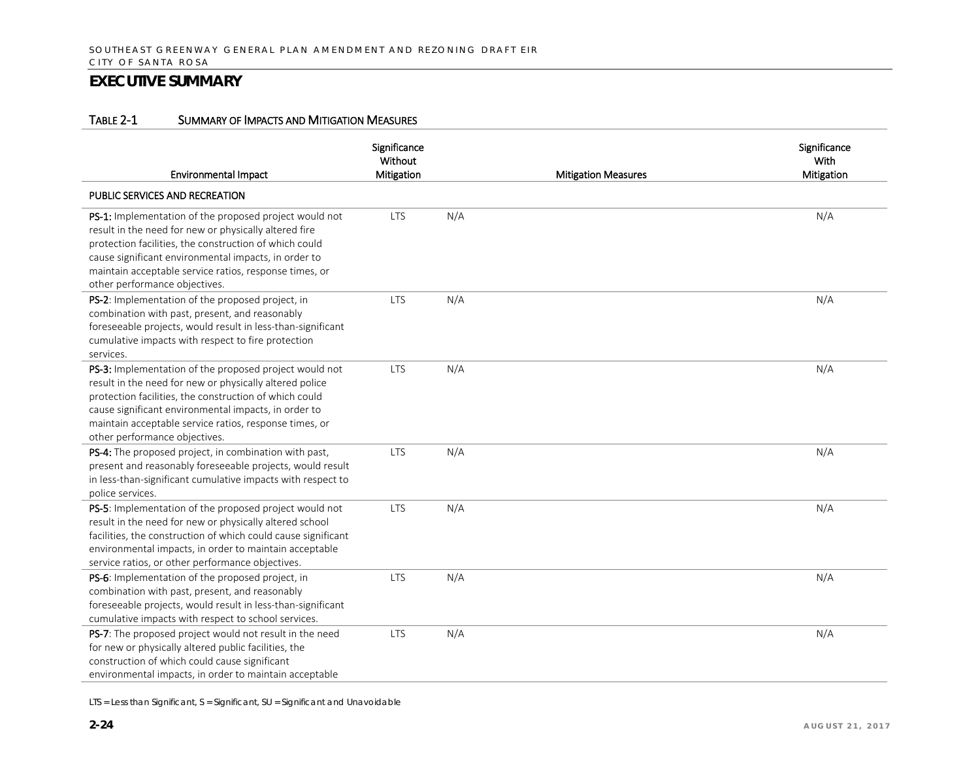#### TABLE 2-1 SUMMARY OF IMPACTS AND MITIGATION MEASURES

| <b>Environmental Impact</b>                                                                                                                                                                                                                                                                                                    | Significance<br>Without<br>Mitigation |     | <b>Mitigation Measures</b> | Significance<br>With<br>Mitigation |
|--------------------------------------------------------------------------------------------------------------------------------------------------------------------------------------------------------------------------------------------------------------------------------------------------------------------------------|---------------------------------------|-----|----------------------------|------------------------------------|
| PUBLIC SERVICES AND RECREATION                                                                                                                                                                                                                                                                                                 |                                       |     |                            |                                    |
| PS-1: Implementation of the proposed project would not<br>result in the need for new or physically altered fire<br>protection facilities, the construction of which could<br>cause significant environmental impacts, in order to<br>maintain acceptable service ratios, response times, or<br>other performance objectives.   | <b>LTS</b>                            | N/A |                            | N/A                                |
| PS-2: Implementation of the proposed project, in<br>combination with past, present, and reasonably<br>foreseeable projects, would result in less-than-significant<br>cumulative impacts with respect to fire protection<br>services.                                                                                           | <b>LTS</b>                            | N/A |                            | N/A                                |
| PS-3: Implementation of the proposed project would not<br>result in the need for new or physically altered police<br>protection facilities, the construction of which could<br>cause significant environmental impacts, in order to<br>maintain acceptable service ratios, response times, or<br>other performance objectives. | <b>LTS</b>                            | N/A |                            | N/A                                |
| PS-4: The proposed project, in combination with past,<br>present and reasonably foreseeable projects, would result<br>in less-than-significant cumulative impacts with respect to<br>police services.                                                                                                                          | <b>LTS</b>                            | N/A |                            | N/A                                |
| PS-5: Implementation of the proposed project would not<br>result in the need for new or physically altered school<br>facilities, the construction of which could cause significant<br>environmental impacts, in order to maintain acceptable<br>service ratios, or other performance objectives.                               | <b>LTS</b>                            | N/A |                            | N/A                                |
| PS-6: Implementation of the proposed project, in<br>combination with past, present, and reasonably<br>foreseeable projects, would result in less-than-significant<br>cumulative impacts with respect to school services.                                                                                                       | <b>LTS</b>                            | N/A |                            | N/A                                |
| PS-7: The proposed project would not result in the need<br>for new or physically altered public facilities, the<br>construction of which could cause significant<br>environmental impacts, in order to maintain acceptable                                                                                                     | <b>LTS</b>                            | N/A |                            | N/A                                |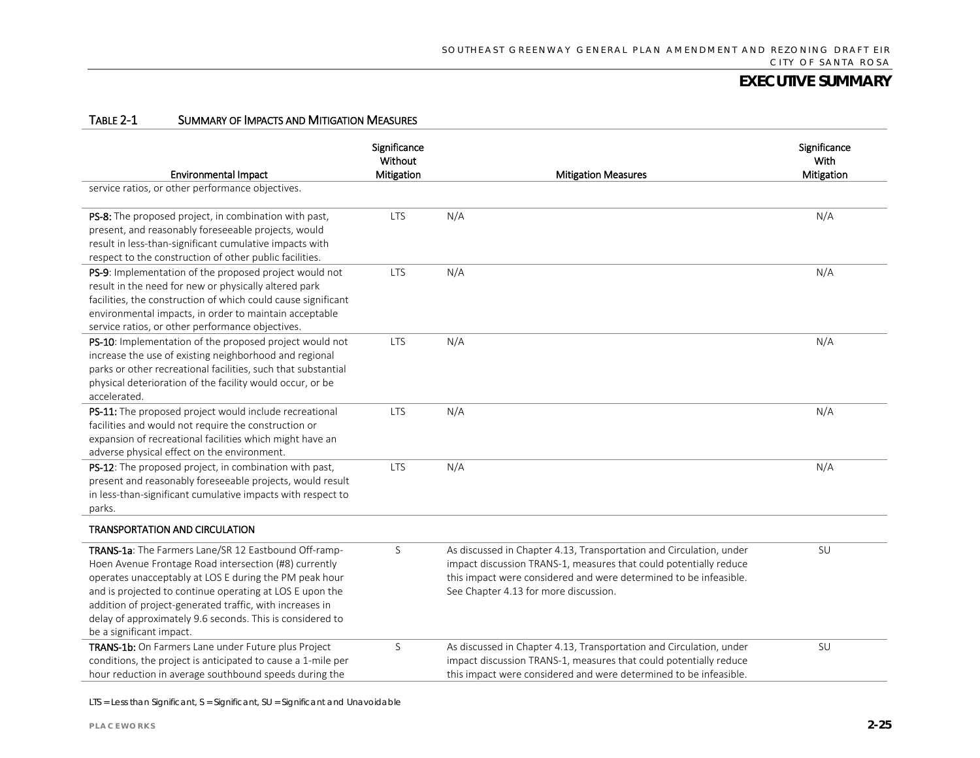#### TABLE 2-1 SUMMARY OF IMPACTS AND MITIGATION MEASURES

| <b>Environmental Impact</b>                                                                                                                                                                                                                                                                                                                                                              | Significance<br>Without<br>Mitigation | <b>Mitigation Measures</b>                                                                                                                                                                                                                             | Significance<br>With<br>Mitigation |
|------------------------------------------------------------------------------------------------------------------------------------------------------------------------------------------------------------------------------------------------------------------------------------------------------------------------------------------------------------------------------------------|---------------------------------------|--------------------------------------------------------------------------------------------------------------------------------------------------------------------------------------------------------------------------------------------------------|------------------------------------|
| service ratios, or other performance objectives.                                                                                                                                                                                                                                                                                                                                         |                                       |                                                                                                                                                                                                                                                        |                                    |
| PS-8: The proposed project, in combination with past,<br>present, and reasonably foreseeable projects, would<br>result in less-than-significant cumulative impacts with<br>respect to the construction of other public facilities.                                                                                                                                                       | <b>LTS</b>                            | N/A                                                                                                                                                                                                                                                    | N/A                                |
| PS-9: Implementation of the proposed project would not<br>result in the need for new or physically altered park<br>facilities, the construction of which could cause significant<br>environmental impacts, in order to maintain acceptable<br>service ratios, or other performance objectives.                                                                                           | <b>LTS</b>                            | N/A                                                                                                                                                                                                                                                    | N/A                                |
| PS-10: Implementation of the proposed project would not<br>increase the use of existing neighborhood and regional<br>parks or other recreational facilities, such that substantial<br>physical deterioration of the facility would occur, or be<br>accelerated.                                                                                                                          | <b>LTS</b>                            | N/A                                                                                                                                                                                                                                                    | N/A                                |
| PS-11: The proposed project would include recreational<br>facilities and would not require the construction or<br>expansion of recreational facilities which might have an<br>adverse physical effect on the environment.                                                                                                                                                                | <b>LTS</b>                            | N/A                                                                                                                                                                                                                                                    | N/A                                |
| PS-12: The proposed project, in combination with past,<br>present and reasonably foreseeable projects, would result<br>in less-than-significant cumulative impacts with respect to<br>parks.                                                                                                                                                                                             | <b>LTS</b>                            | N/A                                                                                                                                                                                                                                                    | N/A                                |
| <b>TRANSPORTATION AND CIRCULATION</b>                                                                                                                                                                                                                                                                                                                                                    |                                       |                                                                                                                                                                                                                                                        |                                    |
| TRANS-1a: The Farmers Lane/SR 12 Eastbound Off-ramp-<br>Hoen Avenue Frontage Road intersection (#8) currently<br>operates unacceptably at LOS E during the PM peak hour<br>and is projected to continue operating at LOS E upon the<br>addition of project-generated traffic, with increases in<br>delay of approximately 9.6 seconds. This is considered to<br>be a significant impact. | S                                     | As discussed in Chapter 4.13, Transportation and Circulation, under<br>impact discussion TRANS-1, measures that could potentially reduce<br>this impact were considered and were determined to be infeasible.<br>See Chapter 4.13 for more discussion. | SU                                 |
| TRANS-1b: On Farmers Lane under Future plus Project<br>conditions, the project is anticipated to cause a 1-mile per<br>hour reduction in average southbound speeds during the                                                                                                                                                                                                            | S                                     | As discussed in Chapter 4.13, Transportation and Circulation, under<br>impact discussion TRANS-1, measures that could potentially reduce<br>this impact were considered and were determined to be infeasible.                                          | SU                                 |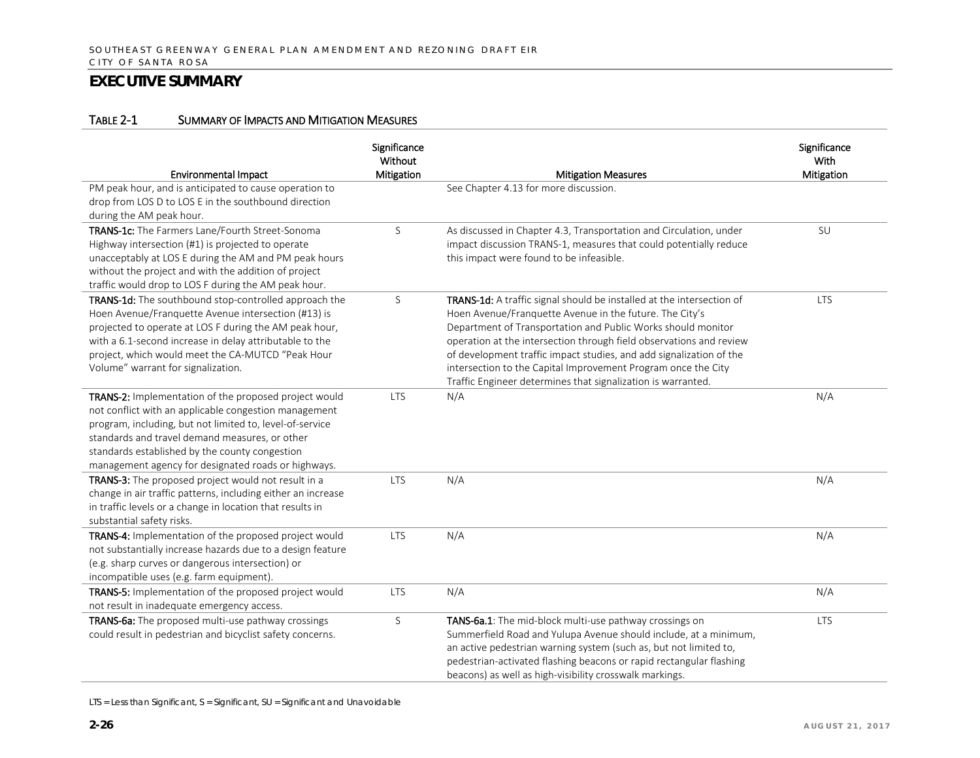#### TABLE 2-1 SUMMARY OF IMPACTS AND MITIGATION MEASURES

| <b>Environmental Impact</b>                                                                                                                                                                                                                                                                                                           | Significance<br>Without<br>Mitigation | <b>Mitigation Measures</b>                                                                                                                                                                                                                                                                                                                                                                                                                                                      | Significance<br>With<br>Mitigation |
|---------------------------------------------------------------------------------------------------------------------------------------------------------------------------------------------------------------------------------------------------------------------------------------------------------------------------------------|---------------------------------------|---------------------------------------------------------------------------------------------------------------------------------------------------------------------------------------------------------------------------------------------------------------------------------------------------------------------------------------------------------------------------------------------------------------------------------------------------------------------------------|------------------------------------|
| PM peak hour, and is anticipated to cause operation to<br>drop from LOS D to LOS E in the southbound direction<br>during the AM peak hour.                                                                                                                                                                                            |                                       | See Chapter 4.13 for more discussion.                                                                                                                                                                                                                                                                                                                                                                                                                                           |                                    |
| TRANS-1c: The Farmers Lane/Fourth Street-Sonoma<br>Highway intersection (#1) is projected to operate<br>unacceptably at LOS E during the AM and PM peak hours<br>without the project and with the addition of project<br>traffic would drop to LOS F during the AM peak hour.                                                         | S                                     | As discussed in Chapter 4.3, Transportation and Circulation, under<br>impact discussion TRANS-1, measures that could potentially reduce<br>this impact were found to be infeasible.                                                                                                                                                                                                                                                                                             | SU                                 |
| TRANS-1d: The southbound stop-controlled approach the<br>Hoen Avenue/Franquette Avenue intersection (#13) is<br>projected to operate at LOS F during the AM peak hour,<br>with a 6.1-second increase in delay attributable to the<br>project, which would meet the CA-MUTCD "Peak Hour<br>Volume" warrant for signalization.          | S                                     | TRANS-1d: A traffic signal should be installed at the intersection of<br>Hoen Avenue/Franquette Avenue in the future. The City's<br>Department of Transportation and Public Works should monitor<br>operation at the intersection through field observations and review<br>of development traffic impact studies, and add signalization of the<br>intersection to the Capital Improvement Program once the City<br>Traffic Engineer determines that signalization is warranted. | <b>LTS</b>                         |
| TRANS-2: Implementation of the proposed project would<br>not conflict with an applicable congestion management<br>program, including, but not limited to, level-of-service<br>standards and travel demand measures, or other<br>standards established by the county congestion<br>management agency for designated roads or highways. | <b>LTS</b>                            | N/A                                                                                                                                                                                                                                                                                                                                                                                                                                                                             | N/A                                |
| TRANS-3: The proposed project would not result in a<br>change in air traffic patterns, including either an increase<br>in traffic levels or a change in location that results in<br>substantial safety risks.                                                                                                                         | <b>LTS</b>                            | N/A                                                                                                                                                                                                                                                                                                                                                                                                                                                                             | N/A                                |
| TRANS-4: Implementation of the proposed project would<br>not substantially increase hazards due to a design feature<br>(e.g. sharp curves or dangerous intersection) or<br>incompatible uses (e.g. farm equipment).                                                                                                                   | <b>LTS</b>                            | N/A                                                                                                                                                                                                                                                                                                                                                                                                                                                                             | N/A                                |
| TRANS-5: Implementation of the proposed project would<br>not result in inadequate emergency access.                                                                                                                                                                                                                                   | <b>LTS</b>                            | N/A                                                                                                                                                                                                                                                                                                                                                                                                                                                                             | N/A                                |
| TRANS-6a: The proposed multi-use pathway crossings<br>could result in pedestrian and bicyclist safety concerns.                                                                                                                                                                                                                       | S                                     | TANS-6a.1: The mid-block multi-use pathway crossings on<br>Summerfield Road and Yulupa Avenue should include, at a minimum,<br>an active pedestrian warning system (such as, but not limited to,<br>pedestrian-activated flashing beacons or rapid rectangular flashing<br>beacons) as well as high-visibility crosswalk markings.                                                                                                                                              | <b>LTS</b>                         |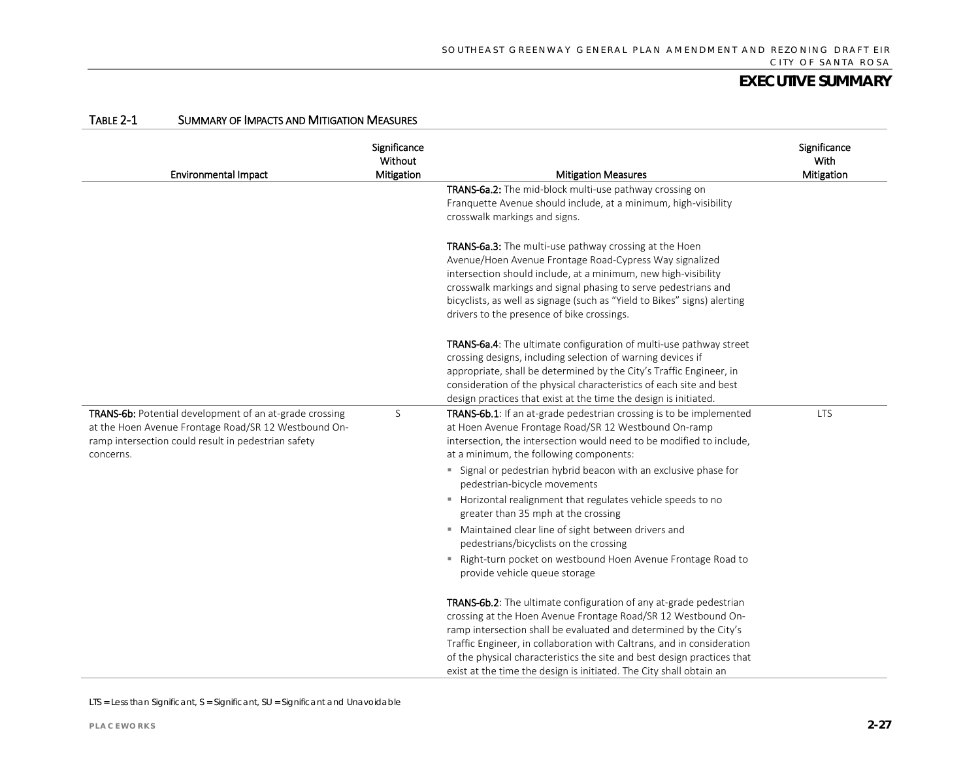| <b>Environmental Impact</b>                             | Significance<br>Without<br>Mitigation | <b>Mitigation Measures</b>                                                                       | Significance<br>With<br>Mitigation |
|---------------------------------------------------------|---------------------------------------|--------------------------------------------------------------------------------------------------|------------------------------------|
|                                                         |                                       | TRANS-6a.2: The mid-block multi-use pathway crossing on                                          |                                    |
|                                                         |                                       | Franquette Avenue should include, at a minimum, high-visibility                                  |                                    |
|                                                         |                                       | crosswalk markings and signs.                                                                    |                                    |
|                                                         |                                       | TRANS-6a.3: The multi-use pathway crossing at the Hoen                                           |                                    |
|                                                         |                                       | Avenue/Hoen Avenue Frontage Road-Cypress Way signalized                                          |                                    |
|                                                         |                                       | intersection should include, at a minimum, new high-visibility                                   |                                    |
|                                                         |                                       | crosswalk markings and signal phasing to serve pedestrians and                                   |                                    |
|                                                         |                                       | bicyclists, as well as signage (such as "Yield to Bikes" signs) alerting                         |                                    |
|                                                         |                                       | drivers to the presence of bike crossings.                                                       |                                    |
|                                                         |                                       | TRANS-6a.4: The ultimate configuration of multi-use pathway street                               |                                    |
|                                                         |                                       | crossing designs, including selection of warning devices if                                      |                                    |
|                                                         |                                       | appropriate, shall be determined by the City's Traffic Engineer, in                              |                                    |
|                                                         |                                       | consideration of the physical characteristics of each site and best                              |                                    |
|                                                         |                                       | design practices that exist at the time the design is initiated.                                 |                                    |
| TRANS-6b: Potential development of an at-grade crossing | S                                     | TRANS-6b.1: If an at-grade pedestrian crossing is to be implemented                              | <b>LTS</b>                         |
| at the Hoen Avenue Frontage Road/SR 12 Westbound On-    |                                       | at Hoen Avenue Frontage Road/SR 12 Westbound On-ramp                                             |                                    |
| ramp intersection could result in pedestrian safety     |                                       | intersection, the intersection would need to be modified to include,                             |                                    |
| concerns.                                               |                                       | at a minimum, the following components:                                                          |                                    |
|                                                         |                                       | " Signal or pedestrian hybrid beacon with an exclusive phase for<br>pedestrian-bicycle movements |                                    |
|                                                         |                                       | Horizontal realignment that regulates vehicle speeds to no                                       |                                    |
|                                                         |                                       | greater than 35 mph at the crossing                                                              |                                    |
|                                                         |                                       | ■ Maintained clear line of sight between drivers and                                             |                                    |
|                                                         |                                       | pedestrians/bicyclists on the crossing                                                           |                                    |
|                                                         |                                       | " Right-turn pocket on westbound Hoen Avenue Frontage Road to                                    |                                    |
|                                                         |                                       | provide vehicle queue storage                                                                    |                                    |
|                                                         |                                       | TRANS-6b.2: The ultimate configuration of any at-grade pedestrian                                |                                    |
|                                                         |                                       | crossing at the Hoen Avenue Frontage Road/SR 12 Westbound On-                                    |                                    |
|                                                         |                                       | ramp intersection shall be evaluated and determined by the City's                                |                                    |
|                                                         |                                       | Traffic Engineer, in collaboration with Caltrans, and in consideration                           |                                    |
|                                                         |                                       | of the physical characteristics the site and best design practices that                          |                                    |
|                                                         |                                       | exist at the time the design is initiated. The City shall obtain an                              |                                    |

#### TABLE 2-1 SUMMARY OF IMPACTS AND MITIGATION MEASURES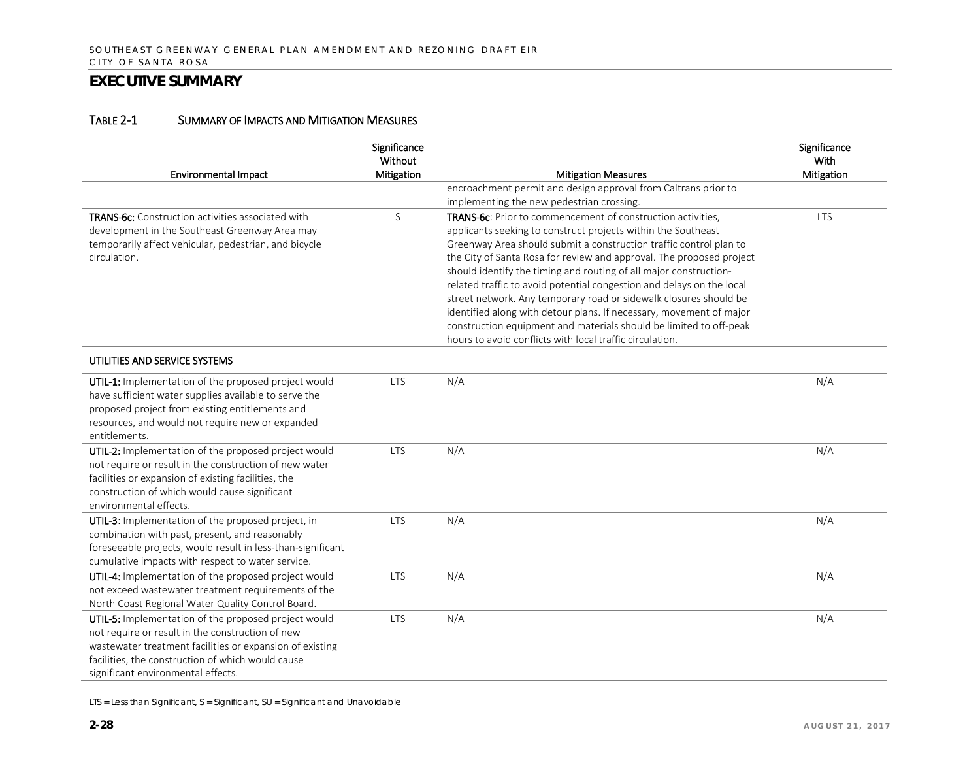#### TABLE 2-1 SUMMARY OF IMPACTS AND MITIGATION MEASURES

| <b>Environmental Impact</b>                                                                                                                                                                                                                                     | Significance<br>Without<br>Mitigation | <b>Mitigation Measures</b>                                                                                                                                                                                                                                                                                                                                                                                                                                                                                                                                                                                                                                                                                    | Significance<br>With<br>Mitigation |
|-----------------------------------------------------------------------------------------------------------------------------------------------------------------------------------------------------------------------------------------------------------------|---------------------------------------|---------------------------------------------------------------------------------------------------------------------------------------------------------------------------------------------------------------------------------------------------------------------------------------------------------------------------------------------------------------------------------------------------------------------------------------------------------------------------------------------------------------------------------------------------------------------------------------------------------------------------------------------------------------------------------------------------------------|------------------------------------|
|                                                                                                                                                                                                                                                                 |                                       | encroachment permit and design approval from Caltrans prior to                                                                                                                                                                                                                                                                                                                                                                                                                                                                                                                                                                                                                                                |                                    |
|                                                                                                                                                                                                                                                                 |                                       | implementing the new pedestrian crossing.                                                                                                                                                                                                                                                                                                                                                                                                                                                                                                                                                                                                                                                                     |                                    |
| <b>TRANS-6c:</b> Construction activities associated with<br>development in the Southeast Greenway Area may<br>temporarily affect vehicular, pedestrian, and bicycle<br>circulation.                                                                             | S                                     | <b>TRANS-6c:</b> Prior to commencement of construction activities,<br>applicants seeking to construct projects within the Southeast<br>Greenway Area should submit a construction traffic control plan to<br>the City of Santa Rosa for review and approval. The proposed project<br>should identify the timing and routing of all major construction-<br>related traffic to avoid potential congestion and delays on the local<br>street network. Any temporary road or sidewalk closures should be<br>identified along with detour plans. If necessary, movement of major<br>construction equipment and materials should be limited to off-peak<br>hours to avoid conflicts with local traffic circulation. | <b>LTS</b>                         |
| UTILITIES AND SERVICE SYSTEMS                                                                                                                                                                                                                                   |                                       |                                                                                                                                                                                                                                                                                                                                                                                                                                                                                                                                                                                                                                                                                                               |                                    |
| UTIL-1: Implementation of the proposed project would<br>have sufficient water supplies available to serve the<br>proposed project from existing entitlements and<br>resources, and would not require new or expanded<br>entitlements.                           | <b>LTS</b>                            | N/A                                                                                                                                                                                                                                                                                                                                                                                                                                                                                                                                                                                                                                                                                                           | N/A                                |
| UTIL-2: Implementation of the proposed project would<br>not require or result in the construction of new water<br>facilities or expansion of existing facilities, the<br>construction of which would cause significant<br>environmental effects.                | <b>LTS</b>                            | N/A                                                                                                                                                                                                                                                                                                                                                                                                                                                                                                                                                                                                                                                                                                           | N/A                                |
| UTIL-3: Implementation of the proposed project, in<br>combination with past, present, and reasonably<br>foreseeable projects, would result in less-than-significant<br>cumulative impacts with respect to water service.                                        | <b>LTS</b>                            | N/A                                                                                                                                                                                                                                                                                                                                                                                                                                                                                                                                                                                                                                                                                                           | N/A                                |
| UTIL-4: Implementation of the proposed project would<br>not exceed wastewater treatment requirements of the<br>North Coast Regional Water Quality Control Board.                                                                                                | <b>LTS</b>                            | N/A                                                                                                                                                                                                                                                                                                                                                                                                                                                                                                                                                                                                                                                                                                           | N/A                                |
| UTIL-5: Implementation of the proposed project would<br>not require or result in the construction of new<br>wastewater treatment facilities or expansion of existing<br>facilities, the construction of which would cause<br>significant environmental effects. | <b>LTS</b>                            | N/A                                                                                                                                                                                                                                                                                                                                                                                                                                                                                                                                                                                                                                                                                                           | N/A                                |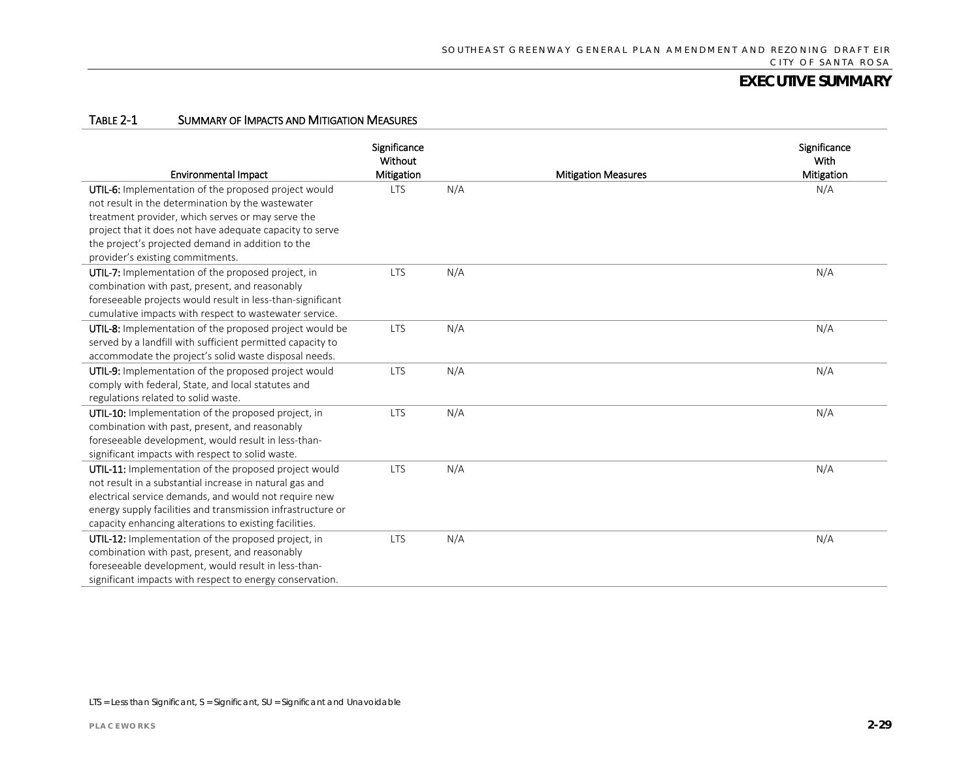#### TABLE 2-1 SUMMARY OF IMPACTS AND MITIGATION MEASURES

| <b>Environmental Impact</b>                                 | Significance<br>Without<br>Mitigation |     | <b>Mitigation Measures</b> | Significance<br>With<br><b>Mitigation</b> |
|-------------------------------------------------------------|---------------------------------------|-----|----------------------------|-------------------------------------------|
| UTIL-6: Implementation of the proposed project would        | <b>LTS</b>                            | N/A |                            | N/A                                       |
| not result in the determination by the wastewater           |                                       |     |                            |                                           |
| treatment provider, which serves or may serve the           |                                       |     |                            |                                           |
| project that it does not have adequate capacity to serve    |                                       |     |                            |                                           |
| the project's projected demand in addition to the           |                                       |     |                            |                                           |
| provider's existing commitments.                            |                                       |     |                            |                                           |
| UTIL-7: Implementation of the proposed project, in          | <b>LTS</b>                            | N/A |                            | N/A                                       |
| combination with past, present, and reasonably              |                                       |     |                            |                                           |
| foreseeable projects would result in less-than-significant  |                                       |     |                            |                                           |
| cumulative impacts with respect to wastewater service.      |                                       |     |                            |                                           |
| UTIL-8: Implementation of the proposed project would be     | <b>LTS</b>                            | N/A |                            | N/A                                       |
| served by a landfill with sufficient permitted capacity to  |                                       |     |                            |                                           |
| accommodate the project's solid waste disposal needs.       |                                       |     |                            |                                           |
| UTIL-9: Implementation of the proposed project would        | <b>LTS</b>                            | N/A |                            | N/A                                       |
| comply with federal, State, and local statutes and          |                                       |     |                            |                                           |
| regulations related to solid waste.                         |                                       |     |                            |                                           |
| UTIL-10: Implementation of the proposed project, in         | <b>LTS</b>                            | N/A |                            | N/A                                       |
| combination with past, present, and reasonably              |                                       |     |                            |                                           |
| foreseeable development, would result in less-than-         |                                       |     |                            |                                           |
| significant impacts with respect to solid waste.            |                                       |     |                            |                                           |
| UTIL-11: Implementation of the proposed project would       | <b>LTS</b>                            | N/A |                            | N/A                                       |
| not result in a substantial increase in natural gas and     |                                       |     |                            |                                           |
| electrical service demands, and would not require new       |                                       |     |                            |                                           |
| energy supply facilities and transmission infrastructure or |                                       |     |                            |                                           |
| capacity enhancing alterations to existing facilities.      |                                       |     |                            |                                           |
| UTIL-12: Implementation of the proposed project, in         | <b>LTS</b>                            | N/A |                            | N/A                                       |
| combination with past, present, and reasonably              |                                       |     |                            |                                           |
| foreseeable development, would result in less-than-         |                                       |     |                            |                                           |
| significant impacts with respect to energy conservation.    |                                       |     |                            |                                           |